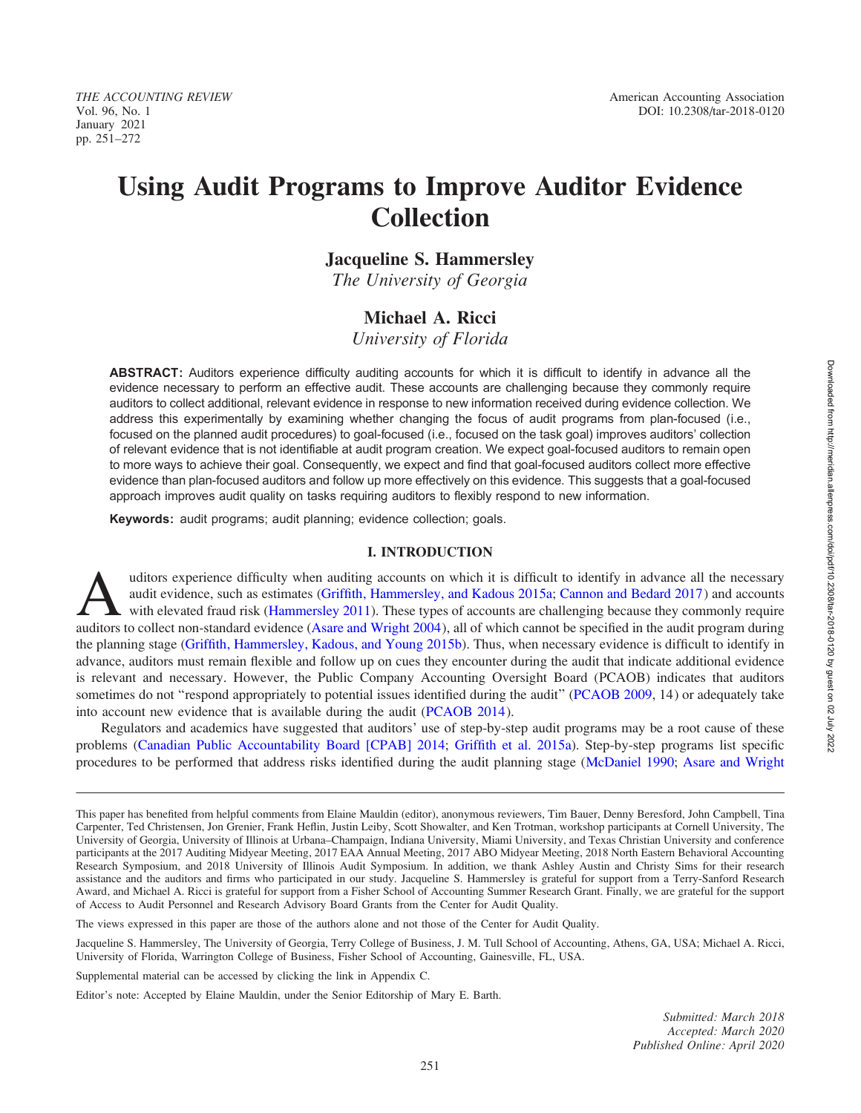January 2021 pp. 251–272

# Using Audit Programs to Improve Auditor Evidence Collection

Jacqueline S. Hammersley

The University of Georgia

# Michael A. Ricci

University of Florida

ABSTRACT: Auditors experience difficulty auditing accounts for which it is difficult to identify in advance all the evidence necessary to perform an effective audit. These accounts are challenging because they commonly require auditors to collect additional, relevant evidence in response to new information received during evidence collection. We address this experimentally by examining whether changing the focus of audit programs from plan-focused (i.e., focused on the planned audit procedures) to goal-focused (i.e., focused on the task goal) improves auditors' collection of relevant evidence that is not identifiable at audit program creation. We expect goal-focused auditors to remain open to more ways to achieve their goal. Consequently, we expect and find that goal-focused auditors collect more effective evidence than plan-focused auditors and follow up more effectively on this evidence. This suggests that a goal-focused approach improves audit quality on tasks requiring auditors to flexibly respond to new information.

Keywords: audit programs; audit planning; evidence collection; goals.

#### I. INTRODUCTION

uditors experience difficulty when auditing accounts on which it is difficult to identify in advance all the necessary<br>audit evidence, such as estimates (Griffith, Hammersley, and Kadous 2015a; Cannon and Bedard 2017) and audit evidence, such as estimates (Griffith, Hammersley, and Kadous 2015a; Cannon and Bedard 2017) and accounts with elevated fraud risk (Hammersley 2011). These types of accounts are challenging because they commonly require auditors to collect non-standard evidence [\(Asare and Wright 2004](#page-17-0)), all of which cannot be specified in the audit program during the planning stage ([Griffith, Hammersley, Kadous, and Young 2015b\)](#page-18-0). Thus, when necessary evidence is difficult to identify in advance, auditors must remain flexible and follow up on cues they encounter during the audit that indicate additional evidence is relevant and necessary. However, the Public Company Accounting Oversight Board (PCAOB) indicates that auditors sometimes do not "respond appropriately to potential issues identified during the audit" ([PCAOB 2009,](#page-18-0) 14) or adequately take into account new evidence that is available during the audit ([PCAOB 2014](#page-18-0)).

Regulators and academics have suggested that auditors' use of step-by-step audit programs may be a root cause of these problems [\(Canadian Public Accountability Board \[CPAB\] 2014;](#page-17-0) [Griffith et al. 2015a](#page-18-0)). Step-by-step programs list specific procedures to be performed that address risks identified during the audit planning stage [\(McDaniel 1990;](#page-18-0) [Asare and Wright](#page-17-0)

The views expressed in this paper are those of the authors alone and not those of the Center for Audit Quality.

Jacqueline S. Hammersley, The University of Georgia, Terry College of Business, J. M. Tull School of Accounting, Athens, GA, USA; Michael A. Ricci, University of Florida, Warrington College of Business, Fisher School of Accounting, Gainesville, FL, USA.

Supplemental material can be accessed by clicking the link in Appendix C.

Editor's note: Accepted by Elaine Mauldin, under the Senior Editorship of Mary E. Barth.

Submitted: March 2018 Accepted: March 2020 Published Online: April 2020

This paper has benefited from helpful comments from Elaine Mauldin (editor), anonymous reviewers, Tim Bauer, Denny Beresford, John Campbell, Tina Carpenter, Ted Christensen, Jon Grenier, Frank Heflin, Justin Leiby, Scott Showalter, and Ken Trotman, workshop participants at Cornell University, The University of Georgia, University of Illinois at Urbana–Champaign, Indiana University, Miami University, and Texas Christian University and conference participants at the 2017 Auditing Midyear Meeting, 2017 EAA Annual Meeting, 2017 ABO Midyear Meeting, 2018 North Eastern Behavioral Accounting Research Symposium, and 2018 University of Illinois Audit Symposium. In addition, we thank Ashley Austin and Christy Sims for their research assistance and the auditors and firms who participated in our study. Jacqueline S. Hammersley is grateful for support from a Terry-Sanford Research Award, and Michael A. Ricci is grateful for support from a Fisher School of Accounting Summer Research Grant. Finally, we are grateful for the support of Access to Audit Personnel and Research Advisory Board Grants from the Center for Audit Quality.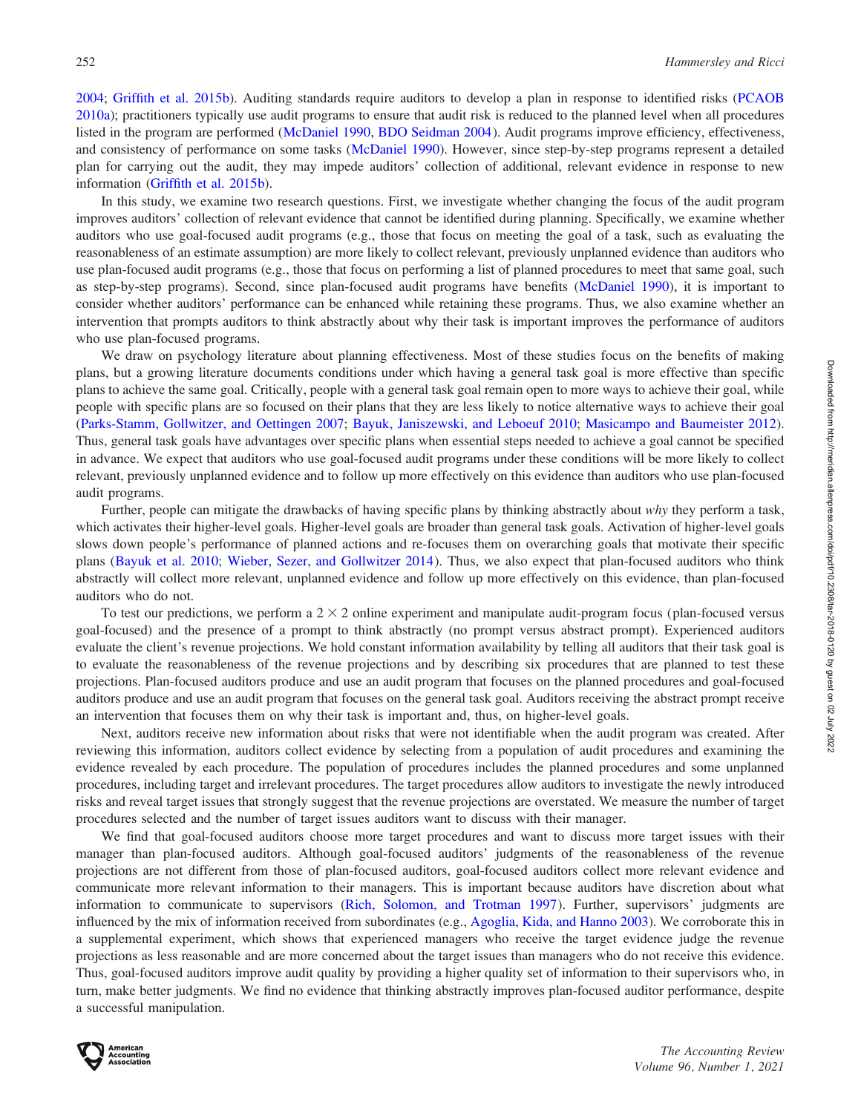[2004;](#page-17-0) [Griffith et al. 2015b](#page-18-0)). Auditing standards require auditors to develop a plan in response to identified risks ([PCAOB](#page-18-0) [2010a](#page-18-0)); practitioners typically use audit programs to ensure that audit risk is reduced to the planned level when all procedures listed in the program are performed [\(McDaniel 1990,](#page-18-0) [BDO Seidman 2004](#page-17-0)). Audit programs improve efficiency, effectiveness, and consistency of performance on some tasks ([McDaniel 1990\)](#page-18-0). However, since step-by-step programs represent a detailed plan for carrying out the audit, they may impede auditors' collection of additional, relevant evidence in response to new information [\(Griffith et al. 2015b](#page-18-0)).

In this study, we examine two research questions. First, we investigate whether changing the focus of the audit program improves auditors' collection of relevant evidence that cannot be identified during planning. Specifically, we examine whether auditors who use goal-focused audit programs (e.g., those that focus on meeting the goal of a task, such as evaluating the reasonableness of an estimate assumption) are more likely to collect relevant, previously unplanned evidence than auditors who use plan-focused audit programs (e.g., those that focus on performing a list of planned procedures to meet that same goal, such as step-by-step programs). Second, since plan-focused audit programs have benefits ([McDaniel 1990](#page-18-0)), it is important to consider whether auditors' performance can be enhanced while retaining these programs. Thus, we also examine whether an intervention that prompts auditors to think abstractly about why their task is important improves the performance of auditors who use plan-focused programs.

We draw on psychology literature about planning effectiveness. Most of these studies focus on the benefits of making plans, but a growing literature documents conditions under which having a general task goal is more effective than specific plans to achieve the same goal. Critically, people with a general task goal remain open to more ways to achieve their goal, while people with specific plans are so focused on their plans that they are less likely to notice alternative ways to achieve their goal [\(Parks-Stamm, Gollwitzer, and Oettingen 2007;](#page-18-0) [Bayuk, Janiszewski, and Leboeuf 2010](#page-17-0); [Masicampo and Baumeister 2012](#page-18-0)). Thus, general task goals have advantages over specific plans when essential steps needed to achieve a goal cannot be specified in advance. We expect that auditors who use goal-focused audit programs under these conditions will be more likely to collect relevant, previously unplanned evidence and to follow up more effectively on this evidence than auditors who use plan-focused audit programs.

Further, people can mitigate the drawbacks of having specific plans by thinking abstractly about why they perform a task, which activates their higher-level goals. Higher-level goals are broader than general task goals. Activation of higher-level goals slows down people's performance of planned actions and re-focuses them on overarching goals that motivate their specific plans ([Bayuk et al. 2010](#page-17-0); [Wieber, Sezer, and Gollwitzer 2014](#page-19-0)). Thus, we also expect that plan-focused auditors who think abstractly will collect more relevant, unplanned evidence and follow up more effectively on this evidence, than plan-focused auditors who do not.

To test our predictions, we perform a  $2 \times 2$  online experiment and manipulate audit-program focus (plan-focused versus goal-focused) and the presence of a prompt to think abstractly (no prompt versus abstract prompt). Experienced auditors evaluate the client's revenue projections. We hold constant information availability by telling all auditors that their task goal is to evaluate the reasonableness of the revenue projections and by describing six procedures that are planned to test these projections. Plan-focused auditors produce and use an audit program that focuses on the planned procedures and goal-focused auditors produce and use an audit program that focuses on the general task goal. Auditors receiving the abstract prompt receive an intervention that focuses them on why their task is important and, thus, on higher-level goals.

Next, auditors receive new information about risks that were not identifiable when the audit program was created. After reviewing this information, auditors collect evidence by selecting from a population of audit procedures and examining the evidence revealed by each procedure. The population of procedures includes the planned procedures and some unplanned procedures, including target and irrelevant procedures. The target procedures allow auditors to investigate the newly introduced risks and reveal target issues that strongly suggest that the revenue projections are overstated. We measure the number of target procedures selected and the number of target issues auditors want to discuss with their manager.

We find that goal-focused auditors choose more target procedures and want to discuss more target issues with their manager than plan-focused auditors. Although goal-focused auditors' judgments of the reasonableness of the revenue projections are not different from those of plan-focused auditors, goal-focused auditors collect more relevant evidence and communicate more relevant information to their managers. This is important because auditors have discretion about what information to communicate to supervisors ([Rich, Solomon, and Trotman 1997](#page-18-0)). Further, supervisors' judgments are influenced by the mix of information received from subordinates (e.g., [Agoglia, Kida, and Hanno 2003](#page-17-0)). We corroborate this in a supplemental experiment, which shows that experienced managers who receive the target evidence judge the revenue projections as less reasonable and are more concerned about the target issues than managers who do not receive this evidence. Thus, goal-focused auditors improve audit quality by providing a higher quality set of information to their supervisors who, in turn, make better judgments. We find no evidence that thinking abstractly improves plan-focused auditor performance, despite a successful manipulation.

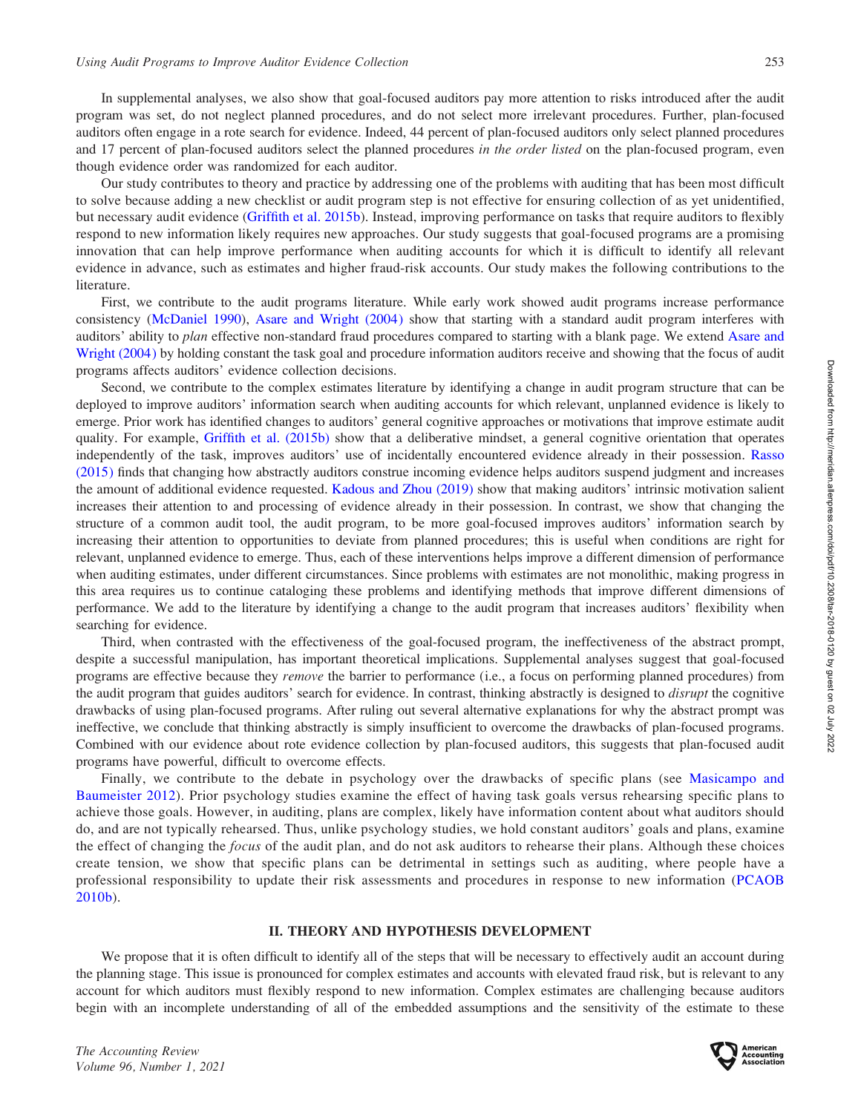In supplemental analyses, we also show that goal-focused auditors pay more attention to risks introduced after the audit program was set, do not neglect planned procedures, and do not select more irrelevant procedures. Further, plan-focused auditors often engage in a rote search for evidence. Indeed, 44 percent of plan-focused auditors only select planned procedures and 17 percent of plan-focused auditors select the planned procedures in the order listed on the plan-focused program, even though evidence order was randomized for each auditor.

Our study contributes to theory and practice by addressing one of the problems with auditing that has been most difficult to solve because adding a new checklist or audit program step is not effective for ensuring collection of as yet unidentified, but necessary audit evidence ([Griffith et al. 2015b](#page-18-0)). Instead, improving performance on tasks that require auditors to flexibly respond to new information likely requires new approaches. Our study suggests that goal-focused programs are a promising innovation that can help improve performance when auditing accounts for which it is difficult to identify all relevant evidence in advance, such as estimates and higher fraud-risk accounts. Our study makes the following contributions to the literature.

First, we contribute to the audit programs literature. While early work showed audit programs increase performance consistency ([McDaniel 1990\)](#page-18-0), [Asare and Wright \(2004\)](#page-17-0) show that starting with a standard audit program interferes with auditors' ability to *plan* effective non-standard fraud procedures compared to starting with a blank page. We extend [Asare and](#page-17-0) [Wright \(2004\)](#page-17-0) by holding constant the task goal and procedure information auditors receive and showing that the focus of audit programs affects auditors' evidence collection decisions.

Second, we contribute to the complex estimates literature by identifying a change in audit program structure that can be deployed to improve auditors' information search when auditing accounts for which relevant, unplanned evidence is likely to emerge. Prior work has identified changes to auditors' general cognitive approaches or motivations that improve estimate audit quality. For example, [Griffith et al. \(2015b\)](#page-18-0) show that a deliberative mindset, a general cognitive orientation that operates independently of the task, improves auditors' use of incidentally encountered evidence already in their possession. [Rasso](#page-18-0) [\(2015\)](#page-18-0) finds that changing how abstractly auditors construe incoming evidence helps auditors suspend judgment and increases the amount of additional evidence requested. [Kadous and Zhou \(2019\)](#page-18-0) show that making auditors' intrinsic motivation salient increases their attention to and processing of evidence already in their possession. In contrast, we show that changing the structure of a common audit tool, the audit program, to be more goal-focused improves auditors' information search by increasing their attention to opportunities to deviate from planned procedures; this is useful when conditions are right for relevant, unplanned evidence to emerge. Thus, each of these interventions helps improve a different dimension of performance when auditing estimates, under different circumstances. Since problems with estimates are not monolithic, making progress in this area requires us to continue cataloging these problems and identifying methods that improve different dimensions of performance. We add to the literature by identifying a change to the audit program that increases auditors' flexibility when searching for evidence.

Third, when contrasted with the effectiveness of the goal-focused program, the ineffectiveness of the abstract prompt, despite a successful manipulation, has important theoretical implications. Supplemental analyses suggest that goal-focused programs are effective because they remove the barrier to performance (i.e., a focus on performing planned procedures) from the audit program that guides auditors' search for evidence. In contrast, thinking abstractly is designed to *disrupt* the cognitive drawbacks of using plan-focused programs. After ruling out several alternative explanations for why the abstract prompt was ineffective, we conclude that thinking abstractly is simply insufficient to overcome the drawbacks of plan-focused programs. Combined with our evidence about rote evidence collection by plan-focused auditors, this suggests that plan-focused audit programs have powerful, difficult to overcome effects.

Finally, we contribute to the debate in psychology over the drawbacks of specific plans (see [Masicampo and](#page-18-0) [Baumeister 2012](#page-18-0)). Prior psychology studies examine the effect of having task goals versus rehearsing specific plans to achieve those goals. However, in auditing, plans are complex, likely have information content about what auditors should do, and are not typically rehearsed. Thus, unlike psychology studies, we hold constant auditors' goals and plans, examine the effect of changing the *focus* of the audit plan, and do not ask auditors to rehearse their plans. Although these choices create tension, we show that specific plans can be detrimental in settings such as auditing, where people have a professional responsibility to update their risk assessments and procedures in response to new information ([PCAOB](#page-18-0) [2010b\)](#page-18-0).

#### II. THEORY AND HYPOTHESIS DEVELOPMENT

We propose that it is often difficult to identify all of the steps that will be necessary to effectively audit an account during the planning stage. This issue is pronounced for complex estimates and accounts with elevated fraud risk, but is relevant to any account for which auditors must flexibly respond to new information. Complex estimates are challenging because auditors begin with an incomplete understanding of all of the embedded assumptions and the sensitivity of the estimate to these

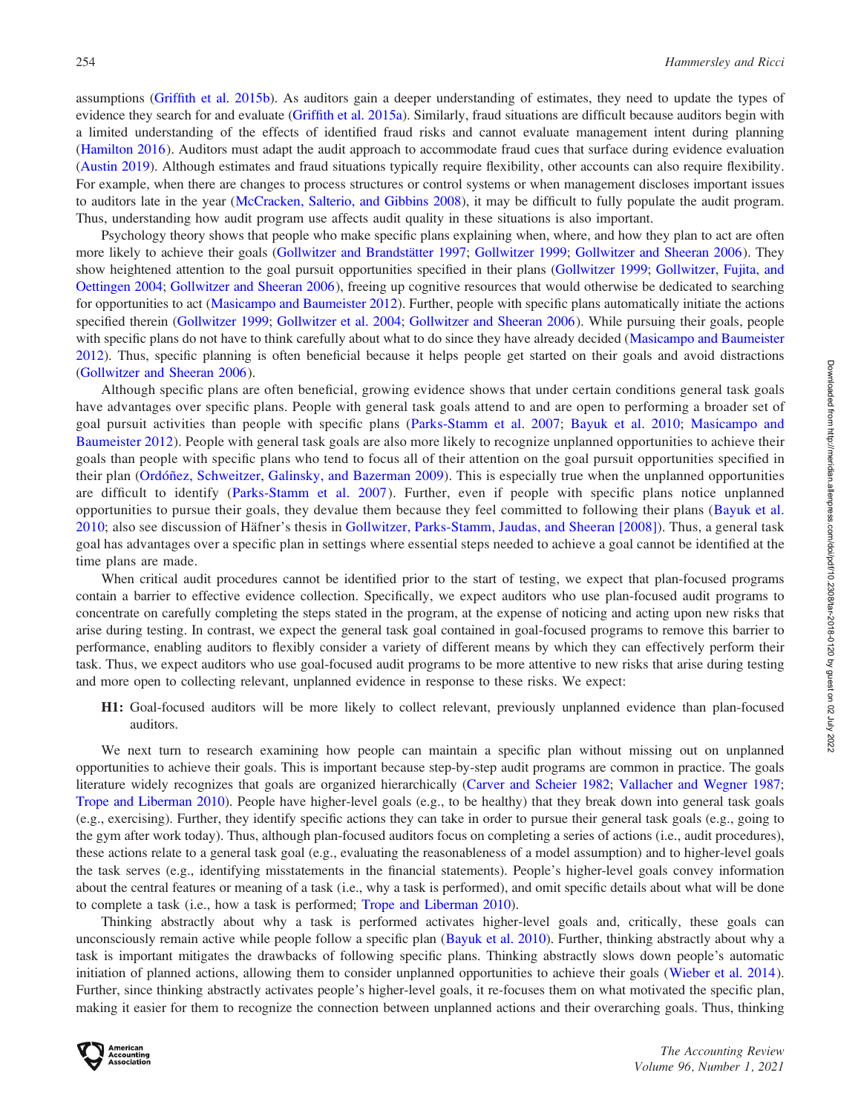assumptions ([Griffith et al. 2015b](#page-18-0)). As auditors gain a deeper understanding of estimates, they need to update the types of evidence they search for and evaluate [\(Griffith et al. 2015a](#page-18-0)). Similarly, fraud situations are difficult because auditors begin with a limited understanding of the effects of identified fraud risks and cannot evaluate management intent during planning [\(Hamilton 2016](#page-18-0)). Auditors must adapt the audit approach to accommodate fraud cues that surface during evidence evaluation [\(Austin 2019\)](#page-17-0). Although estimates and fraud situations typically require flexibility, other accounts can also require flexibility. For example, when there are changes to process structures or control systems or when management discloses important issues to auditors late in the year [\(McCracken, Salterio, and Gibbins 2008](#page-18-0)), it may be difficult to fully populate the audit program. Thus, understanding how audit program use affects audit quality in these situations is also important.

Psychology theory shows that people who make specific plans explaining when, where, and how they plan to act are often more likely to achieve their goals (Gollwitzer and Brandstätter 1997; [Gollwitzer 1999](#page-18-0); [Gollwitzer and Sheeran 2006](#page-18-0)). They show heightened attention to the goal pursuit opportunities specified in their plans [\(Gollwitzer 1999;](#page-18-0) [Gollwitzer, Fujita, and](#page-18-0) [Oettingen 2004;](#page-18-0) [Gollwitzer and Sheeran 2006](#page-18-0)), freeing up cognitive resources that would otherwise be dedicated to searching for opportunities to act ([Masicampo and Baumeister 2012\)](#page-18-0). Further, people with specific plans automatically initiate the actions specified therein [\(Gollwitzer 1999](#page-18-0); [Gollwitzer et al. 2004](#page-18-0); [Gollwitzer and Sheeran 2006](#page-18-0)). While pursuing their goals, people with specific plans do not have to think carefully about what to do since they have already decided ([Masicampo and Baumeister](#page-18-0) [2012\)](#page-18-0). Thus, specific planning is often beneficial because it helps people get started on their goals and avoid distractions [\(Gollwitzer and Sheeran 2006](#page-18-0)).

Although specific plans are often beneficial, growing evidence shows that under certain conditions general task goals have advantages over specific plans. People with general task goals attend to and are open to performing a broader set of goal pursuit activities than people with specific plans [\(Parks-Stamm et al. 2007;](#page-18-0) [Bayuk et al. 2010](#page-17-0); [Masicampo and](#page-18-0) [Baumeister 2012](#page-18-0)). People with general task goals are also more likely to recognize unplanned opportunities to achieve their goals than people with specific plans who tend to focus all of their attention on the goal pursuit opportunities specified in their plan (Ordóñez, Schweitzer, Galinsky, and Bazerman 2009). This is especially true when the unplanned opportunities are difficult to identify ([Parks-Stamm et al. 2007](#page-18-0)). Further, even if people with specific plans notice unplanned opportunities to pursue their goals, they devalue them because they feel committed to following their plans [\(Bayuk et al.](#page-17-0) [2010;](#page-17-0) also see discussion of Häfner's thesis in [Gollwitzer, Parks-Stamm, Jaudas, and Sheeran \[2008\]\)](#page-18-0). Thus, a general task goal has advantages over a specific plan in settings where essential steps needed to achieve a goal cannot be identified at the time plans are made.

When critical audit procedures cannot be identified prior to the start of testing, we expect that plan-focused programs contain a barrier to effective evidence collection. Specifically, we expect auditors who use plan-focused audit programs to concentrate on carefully completing the steps stated in the program, at the expense of noticing and acting upon new risks that arise during testing. In contrast, we expect the general task goal contained in goal-focused programs to remove this barrier to performance, enabling auditors to flexibly consider a variety of different means by which they can effectively perform their task. Thus, we expect auditors who use goal-focused audit programs to be more attentive to new risks that arise during testing and more open to collecting relevant, unplanned evidence in response to these risks. We expect:

H1: Goal-focused auditors will be more likely to collect relevant, previously unplanned evidence than plan-focused auditors.

We next turn to research examining how people can maintain a specific plan without missing out on unplanned opportunities to achieve their goals. This is important because step-by-step audit programs are common in practice. The goals literature widely recognizes that goals are organized hierarchically [\(Carver and Scheier 1982;](#page-17-0) [Vallacher and Wegner 1987](#page-18-0); [Trope and Liberman 2010\)](#page-18-0). People have higher-level goals (e.g., to be healthy) that they break down into general task goals (e.g., exercising). Further, they identify specific actions they can take in order to pursue their general task goals (e.g., going to the gym after work today). Thus, although plan-focused auditors focus on completing a series of actions (i.e., audit procedures), these actions relate to a general task goal (e.g., evaluating the reasonableness of a model assumption) and to higher-level goals the task serves (e.g., identifying misstatements in the financial statements). People's higher-level goals convey information about the central features or meaning of a task (i.e., why a task is performed), and omit specific details about what will be done to complete a task (i.e., how a task is performed; [Trope and Liberman 2010\)](#page-18-0).

Thinking abstractly about why a task is performed activates higher-level goals and, critically, these goals can unconsciously remain active while people follow a specific plan ([Bayuk et al. 2010](#page-17-0)). Further, thinking abstractly about why a task is important mitigates the drawbacks of following specific plans. Thinking abstractly slows down people's automatic initiation of planned actions, allowing them to consider unplanned opportunities to achieve their goals [\(Wieber et al. 2014](#page-19-0)). Further, since thinking abstractly activates people's higher-level goals, it re-focuses them on what motivated the specific plan, making it easier for them to recognize the connection between unplanned actions and their overarching goals. Thus, thinking

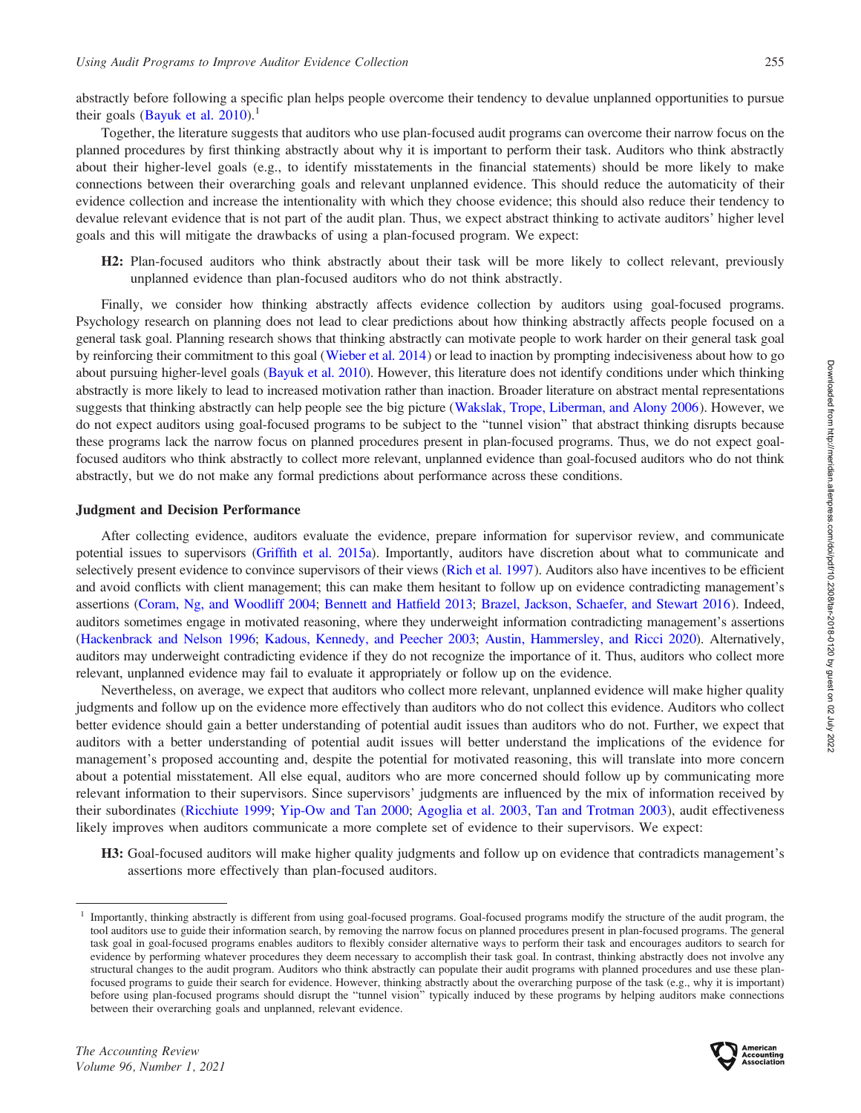abstractly before following a specific plan helps people overcome their tendency to devalue unplanned opportunities to pursue their goals (Bayuk et al.  $2010$ ).<sup>1</sup>

Together, the literature suggests that auditors who use plan-focused audit programs can overcome their narrow focus on the planned procedures by first thinking abstractly about why it is important to perform their task. Auditors who think abstractly about their higher-level goals (e.g., to identify misstatements in the financial statements) should be more likely to make connections between their overarching goals and relevant unplanned evidence. This should reduce the automaticity of their evidence collection and increase the intentionality with which they choose evidence; this should also reduce their tendency to devalue relevant evidence that is not part of the audit plan. Thus, we expect abstract thinking to activate auditors' higher level goals and this will mitigate the drawbacks of using a plan-focused program. We expect:

H2: Plan-focused auditors who think abstractly about their task will be more likely to collect relevant, previously unplanned evidence than plan-focused auditors who do not think abstractly.

Finally, we consider how thinking abstractly affects evidence collection by auditors using goal-focused programs. Psychology research on planning does not lead to clear predictions about how thinking abstractly affects people focused on a general task goal. Planning research shows that thinking abstractly can motivate people to work harder on their general task goal by reinforcing their commitment to this goal [\(Wieber et al. 2014](#page-19-0)) or lead to inaction by prompting indecisiveness about how to go about pursuing higher-level goals [\(Bayuk et al. 2010](#page-17-0)). However, this literature does not identify conditions under which thinking abstractly is more likely to lead to increased motivation rather than inaction. Broader literature on abstract mental representations suggests that thinking abstractly can help people see the big picture ([Wakslak, Trope, Liberman, and Alony 2006](#page-18-0)). However, we do not expect auditors using goal-focused programs to be subject to the ''tunnel vision'' that abstract thinking disrupts because these programs lack the narrow focus on planned procedures present in plan-focused programs. Thus, we do not expect goalfocused auditors who think abstractly to collect more relevant, unplanned evidence than goal-focused auditors who do not think abstractly, but we do not make any formal predictions about performance across these conditions.

#### Judgment and Decision Performance

After collecting evidence, auditors evaluate the evidence, prepare information for supervisor review, and communicate potential issues to supervisors [\(Griffith et al. 2015a](#page-18-0)). Importantly, auditors have discretion about what to communicate and selectively present evidence to convince supervisors of their views [\(Rich et al. 1997](#page-18-0)). Auditors also have incentives to be efficient and avoid conflicts with client management; this can make them hesitant to follow up on evidence contradicting management's assertions ([Coram, Ng, and Woodliff 2004;](#page-17-0) [Bennett and Hatfield 2013](#page-17-0); [Brazel, Jackson, Schaefer, and Stewart 2016](#page-17-0)). Indeed, auditors sometimes engage in motivated reasoning, where they underweight information contradicting management's assertions [\(Hackenbrack and Nelson 1996;](#page-18-0) [Kadous, Kennedy, and Peecher 2003](#page-18-0); [Austin, Hammersley, and Ricci 2020](#page-17-0)). Alternatively, auditors may underweight contradicting evidence if they do not recognize the importance of it. Thus, auditors who collect more relevant, unplanned evidence may fail to evaluate it appropriately or follow up on the evidence.

Nevertheless, on average, we expect that auditors who collect more relevant, unplanned evidence will make higher quality judgments and follow up on the evidence more effectively than auditors who do not collect this evidence. Auditors who collect better evidence should gain a better understanding of potential audit issues than auditors who do not. Further, we expect that auditors with a better understanding of potential audit issues will better understand the implications of the evidence for management's proposed accounting and, despite the potential for motivated reasoning, this will translate into more concern about a potential misstatement. All else equal, auditors who are more concerned should follow up by communicating more relevant information to their supervisors. Since supervisors' judgments are influenced by the mix of information received by their subordinates ([Ricchiute 1999](#page-18-0); [Yip-Ow and Tan 2000](#page-19-0); [Agoglia et al. 2003](#page-17-0), [Tan and Trotman 2003\)](#page-18-0), audit effectiveness likely improves when auditors communicate a more complete set of evidence to their supervisors. We expect:

H3: Goal-focused auditors will make higher quality judgments and follow up on evidence that contradicts management's assertions more effectively than plan-focused auditors.



<sup>1</sup> Importantly, thinking abstractly is different from using goal-focused programs. Goal-focused programs modify the structure of the audit program, the tool auditors use to guide their information search, by removing the narrow focus on planned procedures present in plan-focused programs. The general task goal in goal-focused programs enables auditors to flexibly consider alternative ways to perform their task and encourages auditors to search for evidence by performing whatever procedures they deem necessary to accomplish their task goal. In contrast, thinking abstractly does not involve any structural changes to the audit program. Auditors who think abstractly can populate their audit programs with planned procedures and use these planfocused programs to guide their search for evidence. However, thinking abstractly about the overarching purpose of the task (e.g., why it is important) before using plan-focused programs should disrupt the ''tunnel vision'' typically induced by these programs by helping auditors make connections between their overarching goals and unplanned, relevant evidence.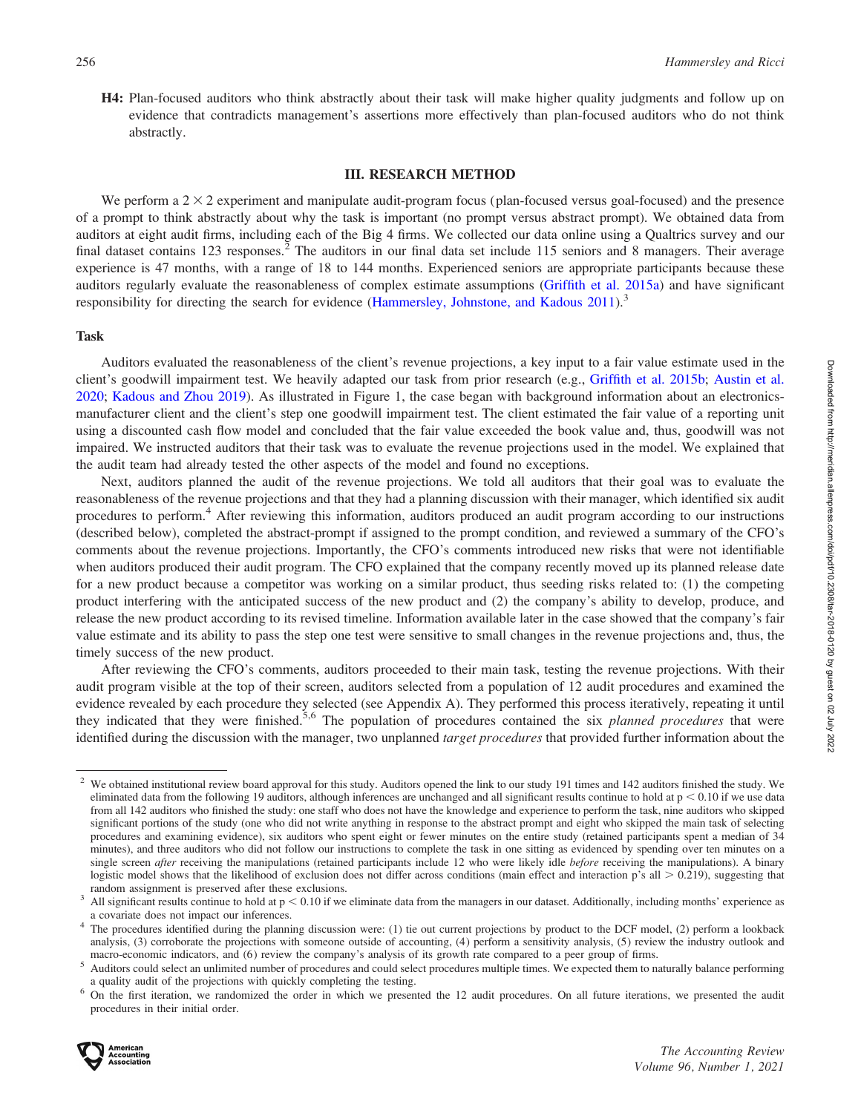H4: Plan-focused auditors who think abstractly about their task will make higher quality judgments and follow up on evidence that contradicts management's assertions more effectively than plan-focused auditors who do not think abstractly.

#### III. RESEARCH METHOD

We perform a  $2 \times 2$  experiment and manipulate audit-program focus (plan-focused versus goal-focused) and the presence of a prompt to think abstractly about why the task is important (no prompt versus abstract prompt). We obtained data from auditors at eight audit firms, including each of the Big 4 firms. We collected our data online using a Qualtrics survey and our final dataset contains 123 responses.<sup>2</sup> The auditors in our final data set include 115 seniors and 8 managers. Their average experience is 47 months, with a range of 18 to 144 months. Experienced seniors are appropriate participants because these auditors regularly evaluate the reasonableness of complex estimate assumptions [\(Griffith et al. 2015a](#page-18-0)) and have significant responsibility for directing the search for evidence [\(Hammersley, Johnstone, and Kadous 2011\)](#page-18-0).<sup>3</sup>

#### Task

Auditors evaluated the reasonableness of the client's revenue projections, a key input to a fair value estimate used in the client's goodwill impairment test. We heavily adapted our task from prior research (e.g., [Griffith et al. 2015b;](#page-18-0) [Austin et al.](#page-17-0) [2020;](#page-17-0) [Kadous and Zhou 2019](#page-18-0)). As illustrated in Figure 1, the case began with background information about an electronicsmanufacturer client and the client's step one goodwill impairment test. The client estimated the fair value of a reporting unit using a discounted cash flow model and concluded that the fair value exceeded the book value and, thus, goodwill was not impaired. We instructed auditors that their task was to evaluate the revenue projections used in the model. We explained that the audit team had already tested the other aspects of the model and found no exceptions.

Next, auditors planned the audit of the revenue projections. We told all auditors that their goal was to evaluate the reasonableness of the revenue projections and that they had a planning discussion with their manager, which identified six audit procedures to perform.<sup>4</sup> After reviewing this information, auditors produced an audit program according to our instructions (described below), completed the abstract-prompt if assigned to the prompt condition, and reviewed a summary of the CFO's comments about the revenue projections. Importantly, the CFO's comments introduced new risks that were not identifiable when auditors produced their audit program. The CFO explained that the company recently moved up its planned release date for a new product because a competitor was working on a similar product, thus seeding risks related to: (1) the competing product interfering with the anticipated success of the new product and (2) the company's ability to develop, produce, and release the new product according to its revised timeline. Information available later in the case showed that the company's fair value estimate and its ability to pass the step one test were sensitive to small changes in the revenue projections and, thus, the timely success of the new product.

After reviewing the CFO's comments, auditors proceeded to their main task, testing the revenue projections. With their audit program visible at the top of their screen, auditors selected from a population of 12 audit procedures and examined the evidence revealed by each procedure they selected (see Appendix A). They performed this process iteratively, repeating it until they indicated that they were finished.<sup>5,6</sup> The population of procedures contained the six planned procedures that were identified during the discussion with the manager, two unplanned *target procedures* that provided further information about the



<sup>&</sup>lt;sup>2</sup> We obtained institutional review board approval for this study. Auditors opened the link to our study 191 times and 142 auditors finished the study. We eliminated data from the following 19 auditors, although inferences are unchanged and all significant results continue to hold at  $p < 0.10$  if we use data from all 142 auditors who finished the study: one staff who does not have the knowledge and experience to perform the task, nine auditors who skipped significant portions of the study (one who did not write anything in response to the abstract prompt and eight who skipped the main task of selecting procedures and examining evidence), six auditors who spent eight or fewer minutes on the entire study (retained participants spent a median of 34 minutes), and three auditors who did not follow our instructions to complete the task in one sitting as evidenced by spending over ten minutes on a single screen after receiving the manipulations (retained participants include 12 who were likely idle before receiving the manipulations). A binary logistic model shows that the likelihood of exclusion does not differ across conditions (main effect and interaction p's all  $> 0.219$ ), suggesting that

random assignment is preserved after these exclusions.<br><sup>3</sup> All significant results continue to hold at  $p < 0.10$  if we eliminate data from the managers in our dataset. Additionally, including months' experience as a covariate does not impact our inferences.<br>The procedures identified during the planning discussion were: (1) tie out current projections by product to the DCF model, (2) perform a lookback

analysis, (3) corroborate the projections with someone outside of accounting, (4) perform a sensitivity analysis, (5) review the industry outlook and

macro-economic indicators, and (6) review the company's analysis of its growth rate compared to a peer group of firms.<br>
<sup>5</sup> Auditors could select an unlimited number of procedures and could select procedures multiple time

a quality audit of the projections with quickly completing the testing. <sup>6</sup> On the first iteration, we randomized the order in which we presented the 12 audit procedures. On all future iterations, we presented the audit procedures in their initial order.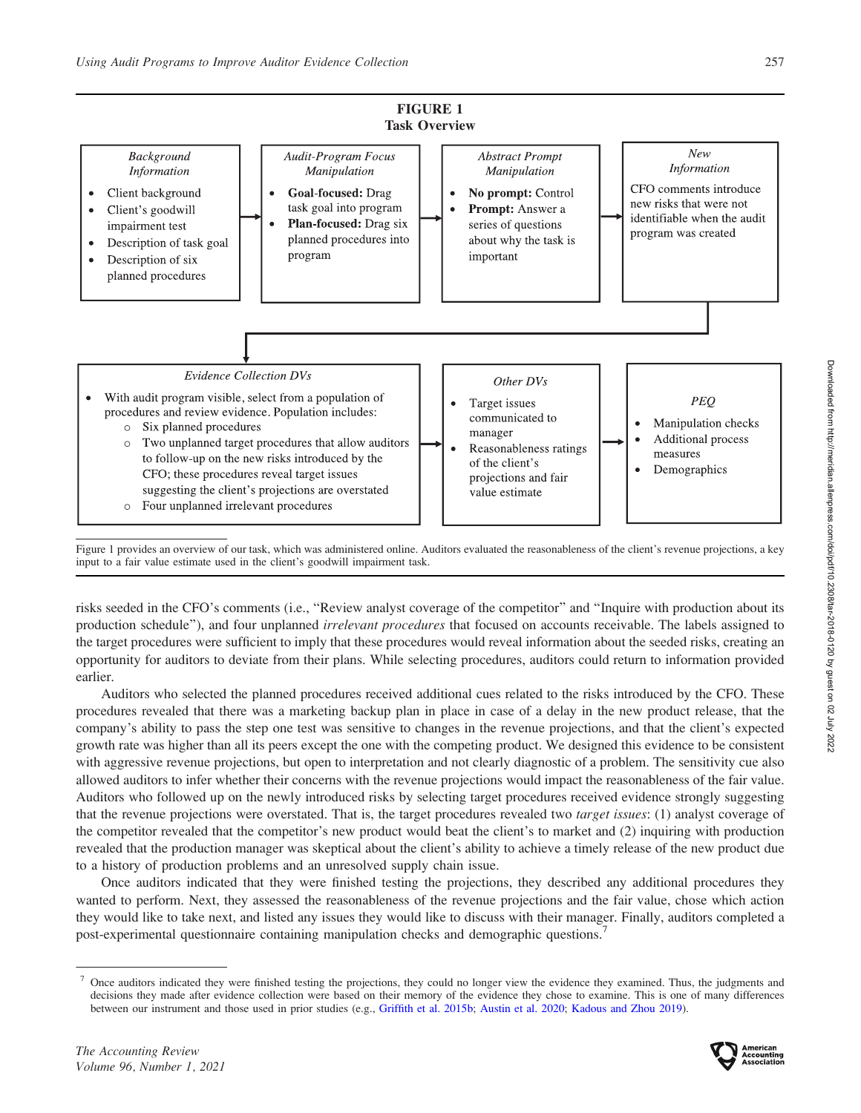$\bullet$ 

 $\bullet$ 



Two unplanned target procedures that allow auditors  $\circ$ to follow-up on the new risks introduced by the CFO; these procedures reveal target issues suggesting the client's projections are overstated o Four unplanned irrelevant procedures



Figure 1 provides an overview of our task, which was administered online. Auditors evaluated the reasonableness of the client's revenue projections, a key input to a fair value estimate used in the client's goodwill impairment task.

risks seeded in the CFO's comments (i.e., ''Review analyst coverage of the competitor'' and ''Inquire with production about its production schedule"), and four unplanned *irrelevant procedures* that focused on accounts receivable. The labels assigned to the target procedures were sufficient to imply that these procedures would reveal information about the seeded risks, creating an opportunity for auditors to deviate from their plans. While selecting procedures, auditors could return to information provided earlier.

Auditors who selected the planned procedures received additional cues related to the risks introduced by the CFO. These procedures revealed that there was a marketing backup plan in place in case of a delay in the new product release, that the company's ability to pass the step one test was sensitive to changes in the revenue projections, and that the client's expected growth rate was higher than all its peers except the one with the competing product. We designed this evidence to be consistent with aggressive revenue projections, but open to interpretation and not clearly diagnostic of a problem. The sensitivity cue also allowed auditors to infer whether their concerns with the revenue projections would impact the reasonableness of the fair value. Auditors who followed up on the newly introduced risks by selecting target procedures received evidence strongly suggesting that the revenue projections were overstated. That is, the target procedures revealed two target issues: (1) analyst coverage of the competitor revealed that the competitor's new product would beat the client's to market and (2) inquiring with production revealed that the production manager was skeptical about the client's ability to achieve a timely release of the new product due to a history of production problems and an unresolved supply chain issue.

Once auditors indicated that they were finished testing the projections, they described any additional procedures they wanted to perform. Next, they assessed the reasonableness of the revenue projections and the fair value, chose which action they would like to take next, and listed any issues they would like to discuss with their manager. Finally, auditors completed a post-experimental questionnaire containing manipulation checks and demographic questions.<sup>7</sup>



<sup>7</sup> Once auditors indicated they were finished testing the projections, they could no longer view the evidence they examined. Thus, the judgments and decisions they made after evidence collection were based on their memory of the evidence they chose to examine. This is one of many differences between our instrument and those used in prior studies (e.g., [Griffith et al. 2015b;](#page-18-0) [Austin et al. 2020;](#page-17-0) [Kadous and Zhou 2019](#page-18-0)).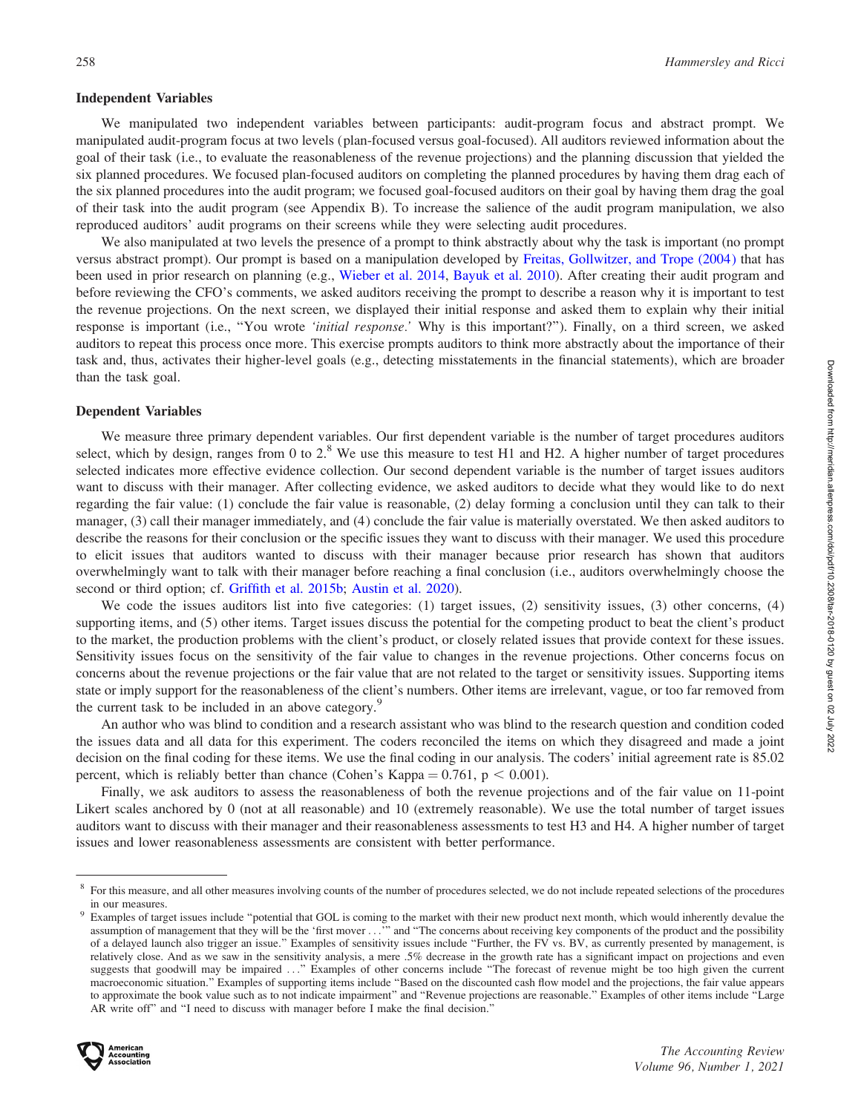#### Independent Variables

We manipulated two independent variables between participants: audit-program focus and abstract prompt. We manipulated audit-program focus at two levels (plan-focused versus goal-focused). All auditors reviewed information about the goal of their task (i.e., to evaluate the reasonableness of the revenue projections) and the planning discussion that yielded the six planned procedures. We focused plan-focused auditors on completing the planned procedures by having them drag each of the six planned procedures into the audit program; we focused goal-focused auditors on their goal by having them drag the goal of their task into the audit program (see Appendix B). To increase the salience of the audit program manipulation, we also reproduced auditors' audit programs on their screens while they were selecting audit procedures.

We also manipulated at two levels the presence of a prompt to think abstractly about why the task is important (no prompt versus abstract prompt). Our prompt is based on a manipulation developed by [Freitas, Gollwitzer, and Trope \(2004\)](#page-17-0) that has been used in prior research on planning (e.g., [Wieber et al. 2014,](#page-19-0) [Bayuk et al. 2010\)](#page-17-0). After creating their audit program and before reviewing the CFO's comments, we asked auditors receiving the prompt to describe a reason why it is important to test the revenue projections. On the next screen, we displayed their initial response and asked them to explain why their initial response is important (i.e., "You wrote 'initial response.' Why is this important?"). Finally, on a third screen, we asked auditors to repeat this process once more. This exercise prompts auditors to think more abstractly about the importance of their task and, thus, activates their higher-level goals (e.g., detecting misstatements in the financial statements), which are broader than the task goal.

#### Dependent Variables

We measure three primary dependent variables. Our first dependent variable is the number of target procedures auditors select, which by design, ranges from 0 to  $2.8$  We use this measure to test H1 and H2. A higher number of target procedures selected indicates more effective evidence collection. Our second dependent variable is the number of target issues auditors want to discuss with their manager. After collecting evidence, we asked auditors to decide what they would like to do next regarding the fair value: (1) conclude the fair value is reasonable, (2) delay forming a conclusion until they can talk to their manager, (3) call their manager immediately, and (4) conclude the fair value is materially overstated. We then asked auditors to describe the reasons for their conclusion or the specific issues they want to discuss with their manager. We used this procedure to elicit issues that auditors wanted to discuss with their manager because prior research has shown that auditors overwhelmingly want to talk with their manager before reaching a final conclusion (i.e., auditors overwhelmingly choose the second or third option; cf. [Griffith et al. 2015b](#page-18-0); [Austin et al. 2020](#page-17-0)).

We code the issues auditors list into five categories: (1) target issues, (2) sensitivity issues, (3) other concerns, (4) supporting items, and (5) other items. Target issues discuss the potential for the competing product to beat the client's product to the market, the production problems with the client's product, or closely related issues that provide context for these issues. Sensitivity issues focus on the sensitivity of the fair value to changes in the revenue projections. Other concerns focus on concerns about the revenue projections or the fair value that are not related to the target or sensitivity issues. Supporting items state or imply support for the reasonableness of the client's numbers. Other items are irrelevant, vague, or too far removed from the current task to be included in an above category.<sup>9</sup>

An author who was blind to condition and a research assistant who was blind to the research question and condition coded the issues data and all data for this experiment. The coders reconciled the items on which they disagreed and made a joint decision on the final coding for these items. We use the final coding in our analysis. The coders' initial agreement rate is 85.02 percent, which is reliably better than chance (Cohen's Kappa =  $0.761$ , p < 0.001).

Finally, we ask auditors to assess the reasonableness of both the revenue projections and of the fair value on 11-point Likert scales anchored by 0 (not at all reasonable) and 10 (extremely reasonable). We use the total number of target issues auditors want to discuss with their manager and their reasonableness assessments to test H3 and H4. A higher number of target issues and lower reasonableness assessments are consistent with better performance.

<sup>&</sup>lt;sup>9</sup> Examples of target issues include "potential that GOL is coming to the market with their new product next month, which would inherently devalue the assumption of management that they will be the 'first mover ...''' and ''The concerns about receiving key components of the product and the possibility of a delayed launch also trigger an issue.'' Examples of sensitivity issues include ''Further, the FV vs. BV, as currently presented by management, is relatively close. And as we saw in the sensitivity analysis, a mere .5% decrease in the growth rate has a significant impact on projections and even suggests that goodwill may be impaired ...'' Examples of other concerns include ''The forecast of revenue might be too high given the current macroeconomic situation.'' Examples of supporting items include ''Based on the discounted cash flow model and the projections, the fair value appears to approximate the book value such as to not indicate impairment'' and ''Revenue projections are reasonable.'' Examples of other items include ''Large AR write off'' and ''I need to discuss with manager before I make the final decision.''



<sup>8</sup> For this measure, and all other measures involving counts of the number of procedures selected, we do not include repeated selections of the procedures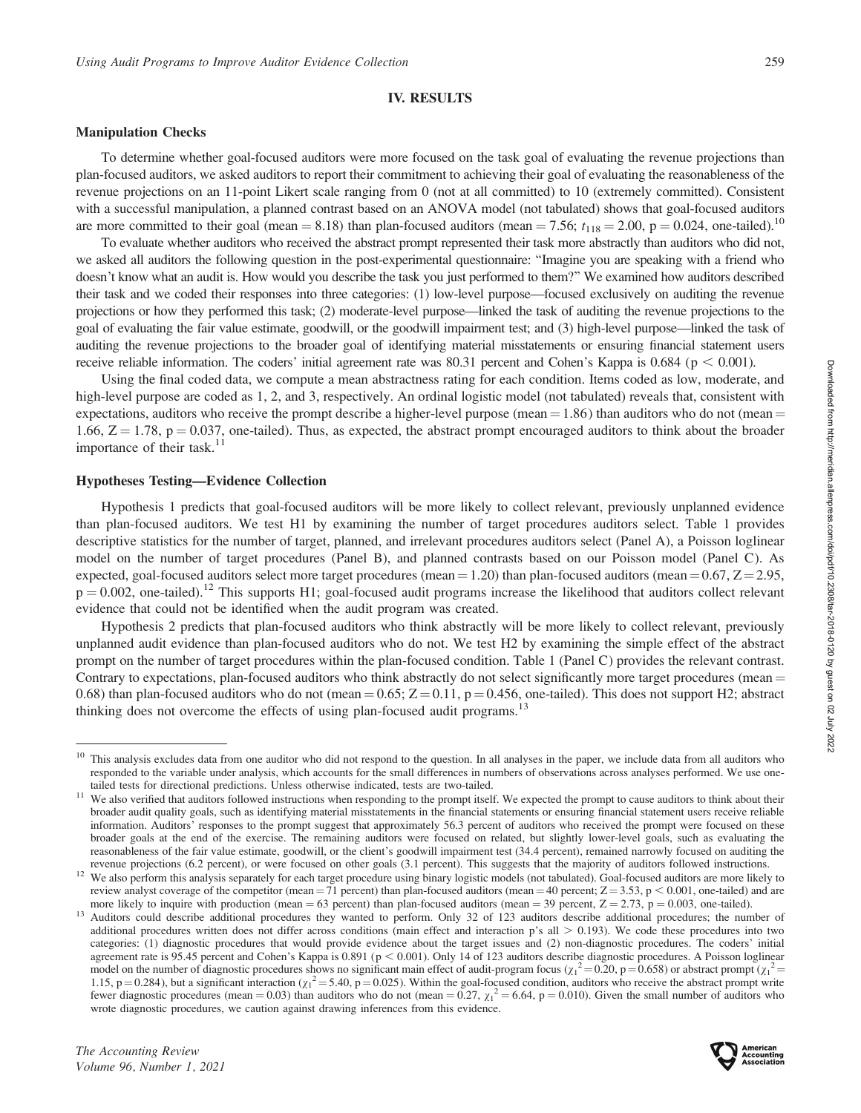#### IV. RESULTS

#### Manipulation Checks

To determine whether goal-focused auditors were more focused on the task goal of evaluating the revenue projections than plan-focused auditors, we asked auditors to report their commitment to achieving their goal of evaluating the reasonableness of the revenue projections on an 11-point Likert scale ranging from 0 (not at all committed) to 10 (extremely committed). Consistent with a successful manipulation, a planned contrast based on an ANOVA model (not tabulated) shows that goal-focused auditors are more committed to their goal (mean = 8.18) than plan-focused auditors (mean = 7.56;  $t_{118}$  = 2.00, p = 0.024, one-tailed).<sup>10</sup>

To evaluate whether auditors who received the abstract prompt represented their task more abstractly than auditors who did not, we asked all auditors the following question in the post-experimental questionnaire: ''Imagine you are speaking with a friend who doesn't know what an audit is. How would you describe the task you just performed to them?'' We examined how auditors described their task and we coded their responses into three categories: (1) low-level purpose—focused exclusively on auditing the revenue projections or how they performed this task; (2) moderate-level purpose—linked the task of auditing the revenue projections to the goal of evaluating the fair value estimate, goodwill, or the goodwill impairment test; and (3) high-level purpose—linked the task of auditing the revenue projections to the broader goal of identifying material misstatements or ensuring financial statement users receive reliable information. The coders' initial agreement rate was  $80.31$  percent and Cohen's Kappa is  $0.684$  (p  $< 0.001$ ).

Using the final coded data, we compute a mean abstractness rating for each condition. Items coded as low, moderate, and high-level purpose are coded as 1, 2, and 3, respectively. An ordinal logistic model (not tabulated) reveals that, consistent with expectations, auditors who receive the prompt describe a higher-level purpose (mean  $= 1.86$ ) than auditors who do not (mean  $=$ 1.66,  $Z = 1.78$ ,  $p = 0.037$ , one-tailed). Thus, as expected, the abstract prompt encouraged auditors to think about the broader importance of their task. $11$ 

#### Hypotheses Testing—Evidence Collection

Hypothesis 1 predicts that goal-focused auditors will be more likely to collect relevant, previously unplanned evidence than plan-focused auditors. We test H1 by examining the number of target procedures auditors select. Table 1 provides descriptive statistics for the number of target, planned, and irrelevant procedures auditors select (Panel A), a Poisson loglinear model on the number of target procedures (Panel B), and planned contrasts based on our Poisson model (Panel C). As expected, goal-focused auditors select more target procedures (mean = 1.20) than plan-focused auditors (mean =  $0.67$ ,  $Z = 2.95$ ,  $p = 0.002$ , one-tailed).<sup>12</sup> This supports H1; goal-focused audit programs increase the likelihood that auditors collect relevant evidence that could not be identified when the audit program was created.

Hypothesis 2 predicts that plan-focused auditors who think abstractly will be more likely to collect relevant, previously unplanned audit evidence than plan-focused auditors who do not. We test H2 by examining the simple effect of the abstract prompt on the number of target procedures within the plan-focused condition. Table 1 (Panel C) provides the relevant contrast. Contrary to expectations, plan-focused auditors who think abstractly do not select significantly more target procedures (mean = 0.68) than plan-focused auditors who do not (mean  $= 0.65$ ;  $Z = 0.11$ , p  $= 0.456$ , one-tailed). This does not support H2; abstract thinking does not overcome the effects of using plan-focused audit programs.<sup>13</sup>

<sup>&</sup>lt;sup>10</sup> This analysis excludes data from one auditor who did not respond to the question. In all analyses in the paper, we include data from all auditors who responded to the variable under analysis, which accounts for the small differences in numbers of observations across analyses performed. We use one-<br>tailed tests for directional predictions. Unless otherwise indicated, tes

<sup>&</sup>lt;sup>11</sup> We also verified that auditors followed instructions when responding to the prompt itself. We expected the prompt to cause auditors to think about their broader audit quality goals, such as identifying material misstatements in the financial statements or ensuring financial statement users receive reliable information. Auditors' responses to the prompt suggest that approximately 56.3 percent of auditors who received the prompt were focused on these broader goals at the end of the exercise. The remaining auditors were focused on related, but slightly lower-level goals, such as evaluating the reasonableness of the fair value estimate, goodwill, or the client's goodwill impairment test (34.4 percent), remained narrowly focused on auditing the revenue projections (6.2 percent), or were focused on other goals (3.1

<sup>&</sup>lt;sup>12</sup> We also perform this analysis separately for each target procedure using binary logistic models (not tabulated). Goal-focused auditors are more likely to review analyst coverage of the competitor (mean = 71 percent) than plan-focused auditors (mean = 40 percent;  $Z = 3.53$ , p < 0.001, one-tailed) and are

more likely to inquire with production (mean = 63 percent) than plan-focused auditors (mean = 39 percent,  $Z = 2.73$ ,  $p = 0.003$ , one-tailed).<br><sup>13</sup> Auditors could describe additional procedures they wanted to perform. Only additional procedures written does not differ across conditions (main effect and interaction p's all  $> 0.193$ ). We code these procedures into two categories: (1) diagnostic procedures that would provide evidence about the target issues and (2) non-diagnostic procedures. The coders' initial agreement rate is 95.45 percent and Cohen's Kappa is 0.891 ( $p < 0.001$ ). Only 14 of 123 auditors describe diagnostic procedures. A Poisson loglinear model on the number of diagnostic procedures shows no significant main effect of audit-program focus ( $\chi_1^2 = 0.20$ , p = 0.658) or abstract prompt ( $\chi_1^2$  = 1.15, p = 0.284), but a significant interaction  $(\chi_1^2 = 5.40, p = 0.025)$ . Within the goal-focused condition, auditors who receive the abstract prompt write fewer diagnostic procedures (mean = 0.03) than auditors who do not (mean =  $0.27$ ,  $\chi_1^2$  = 6.64, p = 0.010). Given the small number of auditors who wrote diagnostic procedures, we caution against drawing inferences from this evidence.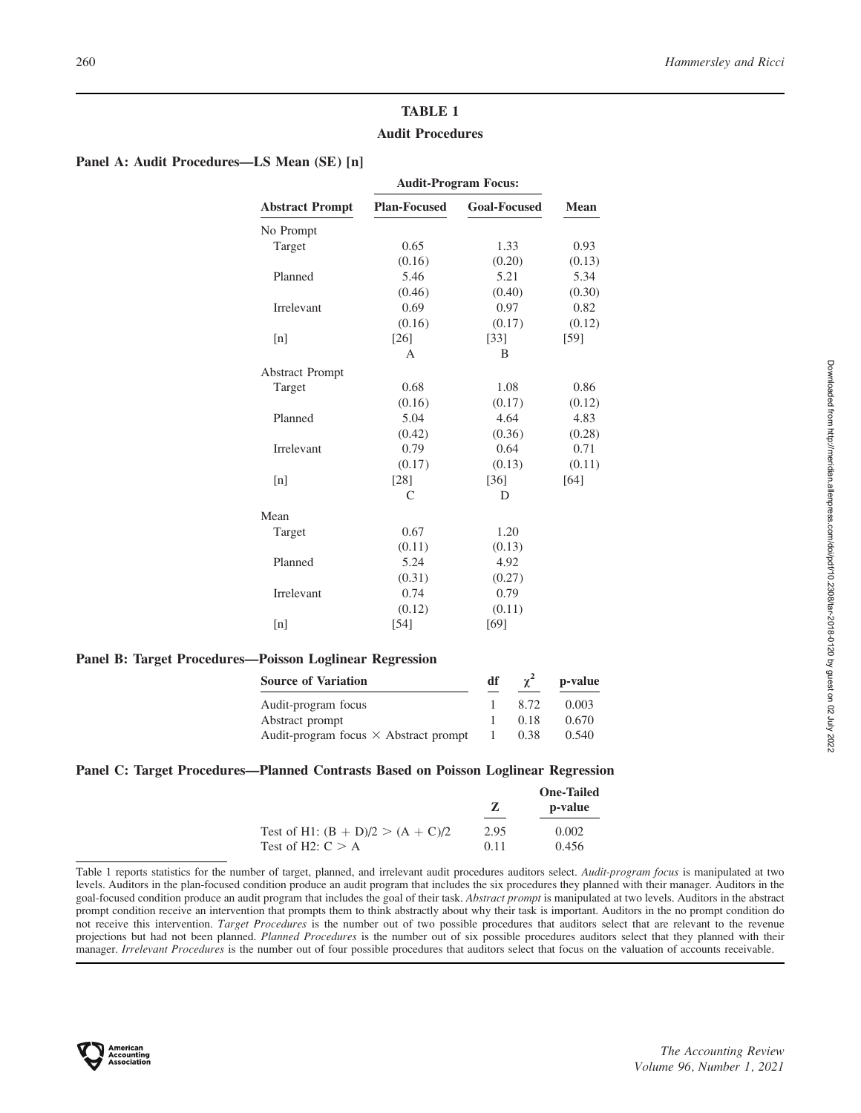# TABLE 1 Audit Procedures

# Panel A: Audit Procedures—LS Mean (SE) [n]

|                        | <b>Audit-Program Focus:</b> |                     |        |
|------------------------|-----------------------------|---------------------|--------|
| <b>Abstract Prompt</b> | <b>Plan-Focused</b>         | <b>Goal-Focused</b> | Mean   |
| No Prompt              |                             |                     |        |
| Target                 | 0.65                        | 1.33                | 0.93   |
|                        | (0.16)                      | (0.20)              | (0.13) |
| Planned                | 5.46                        | 5.21                | 5.34   |
|                        | (0.46)                      | (0.40)              | (0.30) |
| <b>Irrelevant</b>      | 0.69                        | 0.97                | 0.82   |
|                        | (0.16)                      | (0.17)              | (0.12) |
| [n]                    | [26]                        | $\left[33\right]$   | [59]   |
|                        | $\Delta$                    | B                   |        |
| <b>Abstract Prompt</b> |                             |                     |        |
| Target                 | 0.68                        | 1.08                | 0.86   |
|                        | (0.16)                      | (0.17)              | (0.12) |
| Planned                | 5.04                        | 4.64                | 4.83   |
|                        | (0.42)                      | (0.36)              | (0.28) |
| <b>Irrelevant</b>      | 0.79                        | 0.64                | 0.71   |
|                        | (0.17)                      | (0.13)              | (0.11) |
| [n]                    | [28]                        | $\left[36\right]$   | [64]   |
|                        | C                           | D                   |        |
| Mean                   |                             |                     |        |
| Target                 | 0.67                        | 1.20                |        |
|                        | (0.11)                      | (0.13)              |        |
| Planned                | 5.24                        | 4.92                |        |
|                        | (0.31)                      | (0.27)              |        |
| Irrelevant             | 0.74                        | 0.79                |        |
|                        | (0.12)                      | (0.11)              |        |
| [n]                    | [54]                        | [69]                |        |
|                        |                             |                     |        |

# Panel B: Target Procedures—Poisson Loglinear Regression

| <b>Source of Variation</b>                   | df  | $\gamma^2$ | p-value |
|----------------------------------------------|-----|------------|---------|
| Audit-program focus                          |     | 8.72       | 0.003   |
| Abstract prompt                              |     | 0.18       | 0.670   |
| Audit-program focus $\times$ Abstract prompt | -1. | 0.38       | 0.540   |

# Panel C: Target Procedures—Planned Contrasts Based on Poisson Loglinear Regression

|                                     |      | <b>One-Tailed</b> |
|-------------------------------------|------|-------------------|
|                                     | 7.   | p-value           |
| Test of H1: $(B + D)/2 > (A + C)/2$ | 2.95 | 0.002             |
| Test of H2: $C > A$                 | 0.11 | 0.456             |

Table 1 reports statistics for the number of target, planned, and irrelevant audit procedures auditors select. Audit-program focus is manipulated at two levels. Auditors in the plan-focused condition produce an audit program that includes the six procedures they planned with their manager. Auditors in the goal-focused condition produce an audit program that includes the goal of their task. Abstract prompt is manipulated at two levels. Auditors in the abstract prompt condition receive an intervention that prompts them to think abstractly about why their task is important. Auditors in the no prompt condition do not receive this intervention. Target Procedures is the number out of two possible procedures that auditors select that are relevant to the revenue projections but had not been planned. Planned Procedures is the number out of six possible procedures auditors select that they planned with their manager. Irrelevant Procedures is the number out of four possible procedures that auditors select that focus on the valuation of accounts receivable.

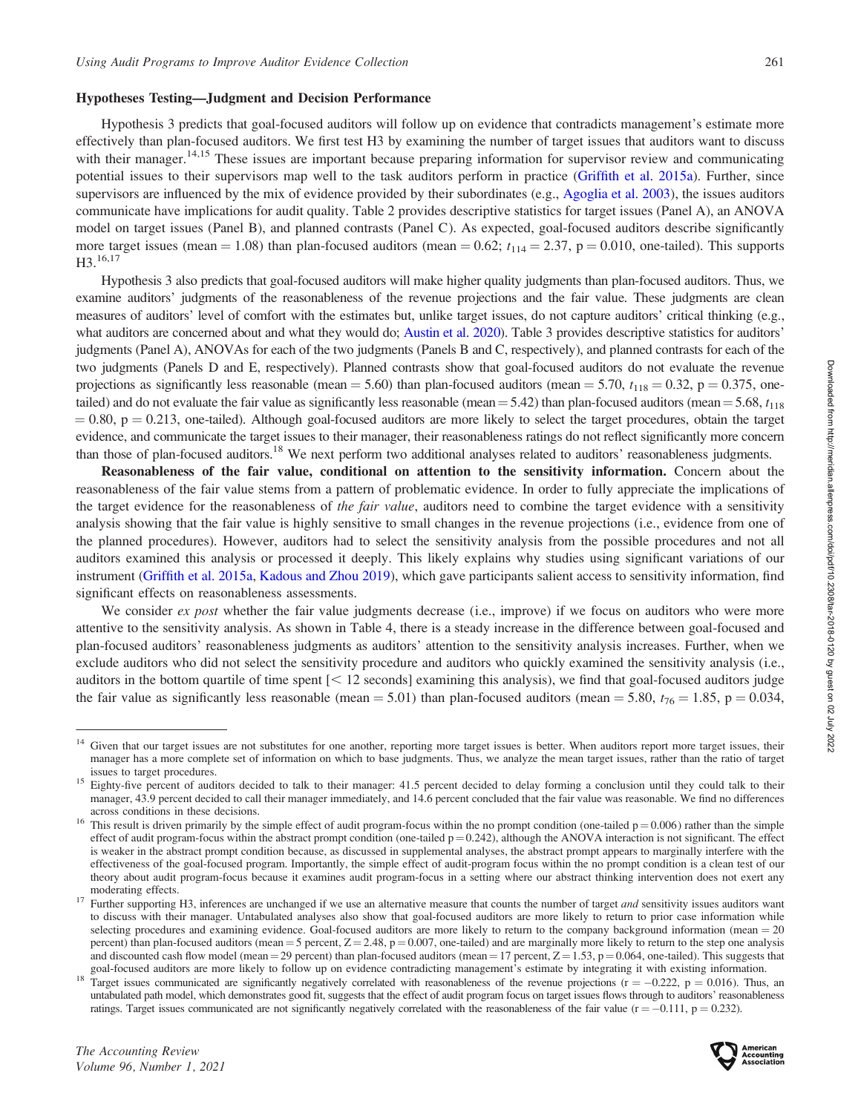# Hypotheses Testing—Judgment and Decision Performance

Hypothesis 3 predicts that goal-focused auditors will follow up on evidence that contradicts management's estimate more effectively than plan-focused auditors. We first test H3 by examining the number of target issues that auditors want to discuss with their manager.<sup>14,15</sup> These issues are important because preparing information for supervisor review and communicating potential issues to their supervisors map well to the task auditors perform in practice [\(Griffith et al. 2015a\)](#page-18-0). Further, since supervisors are influenced by the mix of evidence provided by their subordinates (e.g., [Agoglia et al. 2003\)](#page-17-0), the issues auditors communicate have implications for audit quality. Table 2 provides descriptive statistics for target issues (Panel A), an ANOVA model on target issues (Panel B), and planned contrasts (Panel C). As expected, goal-focused auditors describe significantly more target issues (mean = 1.08) than plan-focused auditors (mean = 0.62;  $t_{114} = 2.37$ , p = 0.010, one-tailed). This supports H3.<sup>16,17</sup>

Hypothesis 3 also predicts that goal-focused auditors will make higher quality judgments than plan-focused auditors. Thus, we examine auditors' judgments of the reasonableness of the revenue projections and the fair value. These judgments are clean measures of auditors' level of comfort with the estimates but, unlike target issues, do not capture auditors' critical thinking (e.g., what auditors are concerned about and what they would do; [Austin et al. 2020\)](#page-17-0). Table 3 provides descriptive statistics for auditors' judgments (Panel A), ANOVAs for each of the two judgments (Panels B and C, respectively), and planned contrasts for each of the two judgments (Panels D and E, respectively). Planned contrasts show that goal-focused auditors do not evaluate the revenue projections as significantly less reasonable (mean = 5.60) than plan-focused auditors (mean = 5.70,  $t_{118} = 0.32$ , p = 0.375, onetailed) and do not evaluate the fair value as significantly less reasonable (mean = 5.42) than plan-focused auditors (mean = 5.68,  $t_{118}$  $= 0.80$ , p  $= 0.213$ , one-tailed). Although goal-focused auditors are more likely to select the target procedures, obtain the target evidence, and communicate the target issues to their manager, their reasonableness ratings do not reflect significantly more concern than those of plan-focused auditors.18 We next perform two additional analyses related to auditors' reasonableness judgments.

Reasonableness of the fair value, conditional on attention to the sensitivity information. Concern about the reasonableness of the fair value stems from a pattern of problematic evidence. In order to fully appreciate the implications of the target evidence for the reasonableness of *the fair value*, auditors need to combine the target evidence with a sensitivity analysis showing that the fair value is highly sensitive to small changes in the revenue projections (i.e., evidence from one of the planned procedures). However, auditors had to select the sensitivity analysis from the possible procedures and not all auditors examined this analysis or processed it deeply. This likely explains why studies using significant variations of our instrument ([Griffith et al. 2015a,](#page-18-0) [Kadous and Zhou 2019\)](#page-18-0), which gave participants salient access to sensitivity information, find significant effects on reasonableness assessments.

We consider ex post whether the fair value judgments decrease (i.e., improve) if we focus on auditors who were more attentive to the sensitivity analysis. As shown in Table 4, there is a steady increase in the difference between goal-focused and plan-focused auditors' reasonableness judgments as auditors' attention to the sensitivity analysis increases. Further, when we exclude auditors who did not select the sensitivity procedure and auditors who quickly examined the sensitivity analysis (i.e., auditors in the bottom quartile of time spent  $[< 12$  seconds] examining this analysis), we find that goal-focused auditors judge the fair value as significantly less reasonable (mean = 5.01) than plan-focused auditors (mean = 5.80,  $t_{76} = 1.85$ , p = 0.034,



<sup>&</sup>lt;sup>14</sup> Given that our target issues are not substitutes for one another, reporting more target issues is better. When auditors report more target issues, their manager has a more complete set of information on which to base judgments. Thus, we analyze the mean target issues, rather than the ratio of target issues to target procedures.

<sup>&</sup>lt;sup>15</sup> Eighty-five percent of auditors decided to talk to their manager: 41.5 percent decided to delay forming a conclusion until they could talk to their manager, 43.9 percent decided to call their manager immediately, and 14.6 percent concluded that the fair value was reasonable. We find no differences across conditions in these decisions.<br><sup>16</sup> This result is driven primarily by the simple effect of audit program-focus within the no prompt condition (one-tailed  $p = 0.006$ ) rather than the simple

effect of audit program-focus within the abstract prompt condition (one-tailed  $p = 0.242$ ), although the ANOVA interaction is not significant. The effect is weaker in the abstract prompt condition because, as discussed in supplemental analyses, the abstract prompt appears to marginally interfere with the effectiveness of the goal-focused program. Importantly, the simple effect of audit-program focus within the no prompt condition is a clean test of our theory about audit program-focus because it examines audit program-focus in a setting where our abstract thinking intervention does not exert any

moderating effects.<br><sup>17</sup> Further supporting H3, inferences are unchanged if we use an alternative measure that counts the number of target *and* sensitivity issues auditors want to discuss with their manager. Untabulated analyses also show that goal-focused auditors are more likely to return to prior case information while selecting procedures and examining evidence. Goal-focused auditors are more likely to return to the company background information (mean  $= 20$ ) percent) than plan-focused auditors (mean = 5 percent,  $Z = 2.48$ , p = 0.007, one-tailed) and are marginally more likely to return to the step one analysis and discounted cash flow model (mean = 29 percent) than plan-focused auditors (mean = 17 percent,  $Z = 1.53$ ,  $p = 0.064$ , one-tailed). This suggests that goal-focused auditors are more likely to follow up on evidence contr

goal-focused auditors are more likely to follow up on evidence contradicting management's estimate by integrating it with existing information.<br><sup>18</sup> Target issues communicated are significantly negatively correlated with untabulated path model, which demonstrates good fit, suggests that the effect of audit program focus on target issues flows through to auditors' reasonableness ratings. Target issues communicated are not significantly negatively correlated with the reasonableness of the fair value  $(r = -0.111, p = 0.232)$ .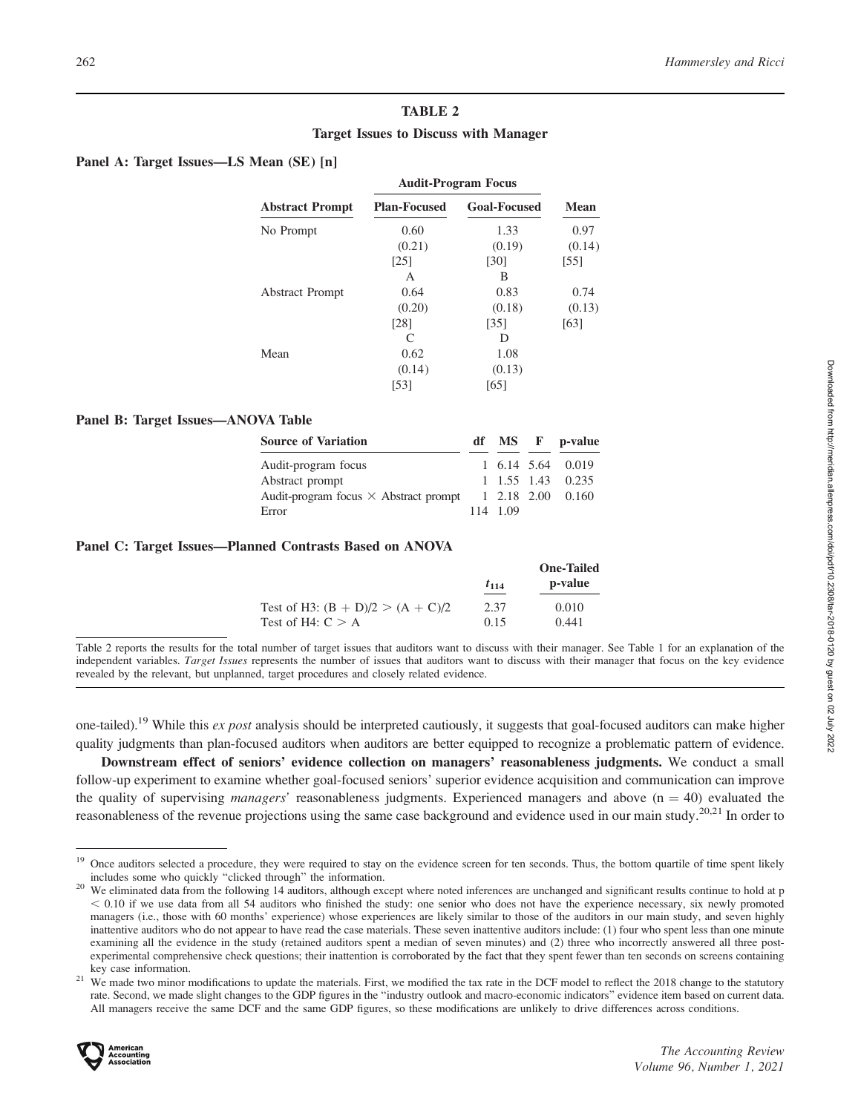# TABLE 2

# Target Issues to Discuss with Manager

# Panel A: Target Issues—LS Mean (SE) [n]

|                        | <b>Audit-Program Focus</b> |                     |             |
|------------------------|----------------------------|---------------------|-------------|
| <b>Abstract Prompt</b> | <b>Plan-Focused</b>        | <b>Goal-Focused</b> | <b>Mean</b> |
| No Prompt              | 0.60                       | 1.33                | 0.97        |
|                        | (0.21)                     | (0.19)              | (0.14)      |
|                        | $\lceil 25 \rceil$         | [30]                | [55]        |
|                        | А                          | В                   |             |
| <b>Abstract Prompt</b> | 0.64                       | 0.83                | 0.74        |
|                        | (0.20)                     | (0.18)              | (0.13)      |
|                        | [28]                       | [35]                | [63]        |
|                        |                            | D                   |             |
| Mean                   | 0.62                       | 1.08                |             |
|                        | (0.14)                     | (0.13)              |             |
|                        | [53]                       | [65]                |             |

# Panel B: Target Issues—ANOVA Table

| <b>Source of Variation</b>                   |          | df MS F p-value      |
|----------------------------------------------|----------|----------------------|
| Audit-program focus                          |          | 1, 6.14, 5.64, 0.019 |
| Abstract prompt                              |          | 1, 1.55, 1.43, 0.235 |
| Audit-program focus $\times$ Abstract prompt |          | 1, 2.18, 2.00, 0.160 |
| Error                                        | 114 1.09 |                      |

# Panel C: Target Issues—Planned Contrasts Based on ANOVA

|                                     |           | <b>One-Tailed</b> |
|-------------------------------------|-----------|-------------------|
|                                     | $t_{114}$ | p-value           |
| Test of H3: $(B + D)/2 > (A + C)/2$ | 2.37      | 0.010             |
| Test of H4: $C > A$                 | 0.15      | 0.441             |

Table 2 reports the results for the total number of target issues that auditors want to discuss with their manager. See Table 1 for an explanation of the independent variables. Target Issues represents the number of issues that auditors want to discuss with their manager that focus on the key evidence revealed by the relevant, but unplanned, target procedures and closely related evidence.

one-tailed).<sup>19</sup> While this ex post analysis should be interpreted cautiously, it suggests that goal-focused auditors can make higher quality judgments than plan-focused auditors when auditors are better equipped to recognize a problematic pattern of evidence.

Downstream effect of seniors' evidence collection on managers' reasonableness judgments. We conduct a small follow-up experiment to examine whether goal-focused seniors' superior evidence acquisition and communication can improve the quality of supervising *managers'* reasonableness judgments. Experienced managers and above  $(n = 40)$  evaluated the reasonableness of the revenue projections using the same case background and evidence used in our main study.<sup>20,21</sup> In order to

rate. Second, we made slight changes to the GDP figures in the ''industry outlook and macro-economic indicators'' evidence item based on current data. All managers receive the same DCF and the same GDP figures, so these modifications are unlikely to drive differences across conditions.



<sup>&</sup>lt;sup>19</sup> Once auditors selected a procedure, they were required to stay on the evidence screen for ten seconds. Thus, the bottom quartile of time spent likely includes some who quickly "clicked through" the information.

We eliminated data from the following 14 auditors, although except where noted inferences are unchanged and significant results continue to hold at p  $<$  0.10 if we use data from all 54 auditors who finished the study: one senior who does not have the experience necessary, six newly promoted managers (i.e., those with 60 months' experience) whose experiences are likely similar to those of the auditors in our main study, and seven highly inattentive auditors who do not appear to have read the case materials. These seven inattentive auditors include: (1) four who spent less than one minute examining all the evidence in the study (retained auditors spent a median of seven minutes) and (2) three who incorrectly answered all three postexperimental comprehensive check questions; their inattention is corroborated by the fact that they spent fewer than ten seconds on screens containing key case information.<br><sup>21</sup> We made two minor modifications to update the materials. First, we modified the tax rate in the DCF model to reflect the 2018 change to the statutory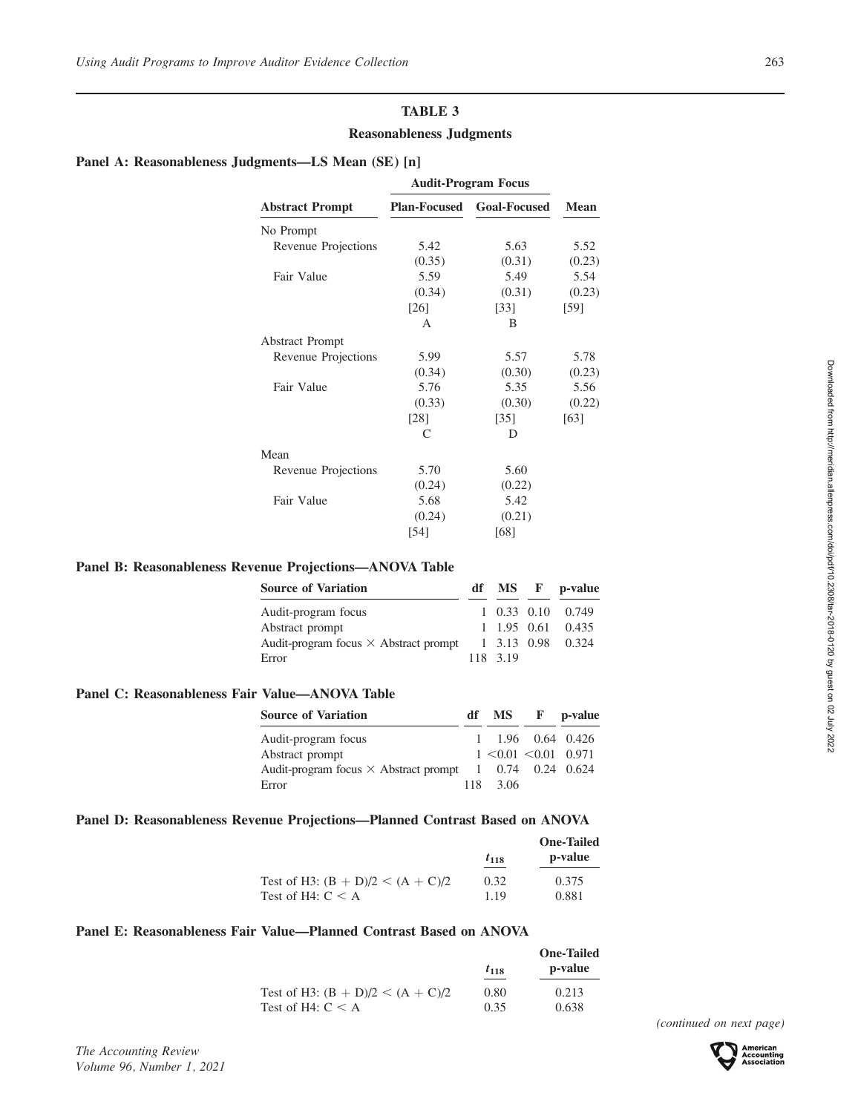# TABLE 3

# Reasonableness Judgments

# Panel A: Reasonableness Judgments—LS Mean (SE) [n]

|                        | <b>Audit-Program Focus</b> |                     |             |
|------------------------|----------------------------|---------------------|-------------|
| <b>Abstract Prompt</b> | <b>Plan-Focused</b>        | <b>Goal-Focused</b> | <b>Mean</b> |
| No Prompt              |                            |                     |             |
| Revenue Projections    | 5.42                       | 5.63                | 5.52        |
|                        | (0.35)                     | (0.31)              | (0.23)      |
| Fair Value             | 5.59                       | 5.49                | 5.54        |
|                        | (0.34)                     | (0.31)              | (0.23)      |
|                        | $\lceil 26 \rceil$         | $\left[33\right]$   | [59]        |
|                        | A                          | B                   |             |
| <b>Abstract Prompt</b> |                            |                     |             |
| Revenue Projections    | 5.99                       | 5.57                | 5.78        |
|                        | (0.34)                     | (0.30)              | (0.23)      |
| Fair Value             | 5.76                       | 5.35                | 5.56        |
|                        | (0.33)                     | (0.30)              | (0.22)      |
|                        | [28]                       | $\left[35\right]$   | [63]        |
|                        | $\subset$                  | D                   |             |
| Mean                   |                            |                     |             |
| Revenue Projections    | 5.70                       | 5.60                |             |
|                        | (0.24)                     | (0.22)              |             |
| Fair Value             | 5.68                       | 5.42                |             |
|                        | (0.24)                     | (0.21)              |             |
|                        | [54]                       | [68]                |             |

# Panel B: Reasonableness Revenue Projections—ANOVA Table

| <b>Source of Variation</b>                   |          | df MS F p-value      |
|----------------------------------------------|----------|----------------------|
| Audit-program focus                          |          | 1 0.33 0.10 0.749    |
| Abstract prompt                              |          | 1, 1.95, 0.61, 0.435 |
| Audit-program focus $\times$ Abstract prompt |          | 1 3.13 0.98 0.324    |
| Error                                        | 118 3.19 |                      |

# Panel C: Reasonableness Fair Value—ANOVA Table

| <b>Source of Variation</b>                                     | df MS F                               | p-value |
|----------------------------------------------------------------|---------------------------------------|---------|
| Audit-program focus                                            | $1 \quad 1.96 \quad 0.64 \quad 0.426$ |         |
| Abstract prompt                                                | $1 \le 0.01 \le 0.01$ 0.971           |         |
| Audit-program focus $\times$ Abstract prompt 1 0.74 0.24 0.624 |                                       |         |
| Error                                                          | 118 3.06                              |         |

# Panel D: Reasonableness Revenue Projections—Planned Contrast Based on ANOVA

|                                     |           | <b>One-Tailed</b> |
|-------------------------------------|-----------|-------------------|
|                                     | $t_{118}$ | p-value           |
| Test of H3: $(B + D)/2 < (A + C)/2$ | 0.32      | 0.375             |
| Test of H4: $C < A$                 | 1 1 9     | 0.881             |

# Panel E: Reasonableness Fair Value—Planned Contrast Based on ANOVA

|                                                                            | p-value<br>$t_{118}$ |
|----------------------------------------------------------------------------|----------------------|
| Test of H3: $(B + D)/2 < (A + C)/2$<br>0.80<br>Test of H4: $C < A$<br>0.35 | 0.213<br>0.638       |

(continued on next page)



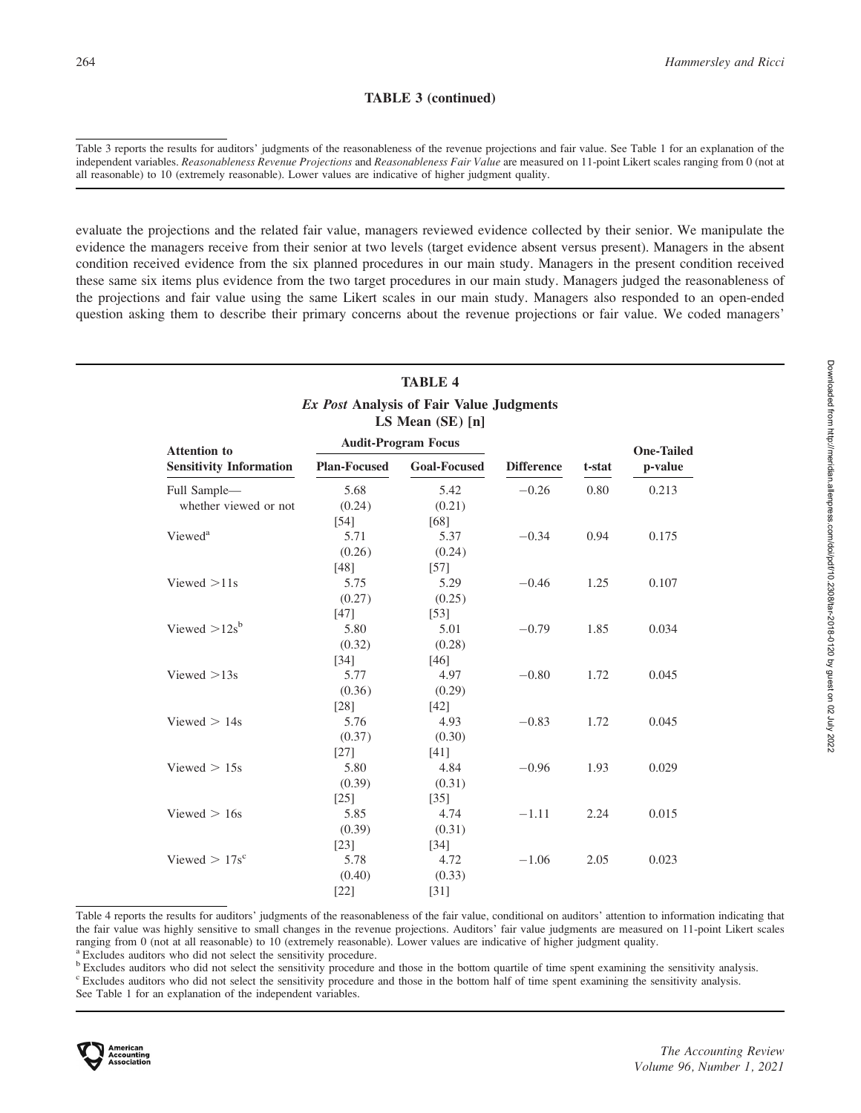# TABLE 3 (continued)

Table 3 reports the results for auditors' judgments of the reasonableness of the revenue projections and fair value. See Table 1 for an explanation of the independent variables. Reasonableness Revenue Projections and Reasonableness Fair Value are measured on 11-point Likert scales ranging from 0 (not at all reasonable) to 10 (extremely reasonable). Lower values are indicative of higher judgment quality.

evaluate the projections and the related fair value, managers reviewed evidence collected by their senior. We manipulate the evidence the managers receive from their senior at two levels (target evidence absent versus present). Managers in the absent condition received evidence from the six planned procedures in our main study. Managers in the present condition received these same six items plus evidence from the two target procedures in our main study. Managers judged the reasonableness of the projections and fair value using the same Likert scales in our main study. Managers also responded to an open-ended question asking them to describe their primary concerns about the revenue projections or fair value. We coded managers'

| <b>TABLE 4</b>                                                          |
|-------------------------------------------------------------------------|
| <i>Ex Post</i> Analysis of Fair Value Judgments<br>$LS$ Mean $(SE)$ [n] |

| <b>Attention to</b><br><b>Sensitivity Information</b> | <b>Audit-Program Focus</b> |                     |                   |        | <b>One-Tailed</b> |
|-------------------------------------------------------|----------------------------|---------------------|-------------------|--------|-------------------|
|                                                       | <b>Plan-Focused</b>        | <b>Goal-Focused</b> | <b>Difference</b> | t-stat | p-value           |
| Full Sample-                                          | 5.68                       | 5.42                | $-0.26$           | 0.80   | 0.213             |
| whether viewed or not                                 | (0.24)                     | (0.21)              |                   |        |                   |
|                                                       | [54]                       | [68]                |                   |        |                   |
| Viewed <sup>a</sup>                                   | 5.71                       | 5.37                | $-0.34$           | 0.94   | 0.175             |
|                                                       | (0.26)                     | (0.24)              |                   |        |                   |
|                                                       | $[48]$                     | $[57]$              |                   |        |                   |
| Viewed $>11s$                                         | 5.75                       | 5.29                | $-0.46$           | 1.25   | 0.107             |
|                                                       | (0.27)                     | (0.25)              |                   |        |                   |
|                                                       | [47]                       | $[53]$              |                   |        |                   |
| Viewed $>12s^b$                                       | 5.80                       | 5.01                | $-0.79$           | 1.85   | 0.034             |
|                                                       | (0.32)                     | (0.28)              |                   |        |                   |
|                                                       | $[34]$                     | [46]                |                   |        |                   |
| Viewed $>13s$                                         | 5.77                       | 4.97                | $-0.80$           | 1.72   | 0.045             |
|                                                       | (0.36)                     | (0.29)              |                   |        |                   |
|                                                       | $[28]$                     | $[42]$              |                   |        |                   |
| Viewed $> 14s$                                        | 5.76                       | 4.93                | $-0.83$           | 1.72   | 0.045             |
|                                                       | (0.37)                     | (0.30)              |                   |        |                   |
|                                                       | $[27]$                     | $[41]$              |                   |        |                   |
| Viewed $> 15s$                                        | 5.80                       | 4.84                | $-0.96$           | 1.93   | 0.029             |
|                                                       | (0.39)                     | (0.31)              |                   |        |                   |
|                                                       | $\lceil 25 \rceil$         | $\left[35\right]$   |                   |        |                   |
| Viewed $> 16s$                                        | 5.85                       | 4.74                | $-1.11$           | 2.24   | 0.015             |
|                                                       | (0.39)                     | (0.31)              |                   |        |                   |
|                                                       | $[23]$                     | $[34]$              |                   |        |                   |
| Viewed $> 17s^c$                                      | 5.78                       | 4.72                | $-1.06$           | 2.05   | 0.023             |
|                                                       | (0.40)                     | (0.33)              |                   |        |                   |
|                                                       | $[22]$                     | $[31]$              |                   |        |                   |

Table 4 reports the results for auditors' judgments of the reasonableness of the fair value, conditional on auditors' attention to information indicating that the fair value was highly sensitive to small changes in the revenue projections. Auditors' fair value judgments are measured on 11-point Likert scales ranging from 0 (not at all reasonable) to 10 (extremely reasonable). Lower values are indicative of higher judgment quality. <sup>a</sup> Excludes auditors who did not select the sensitivity procedure.

**b** Excludes auditors who did not select the sensitivity procedure and those in the bottom quartile of time spent examining the sensitivity analysis.

<sup>c</sup> Excludes auditors who did not select the sensitivity procedure and those in the bottom half of time spent examining the sensitivity analysis.

See Table 1 for an explanation of the independent variables.



The Accounting Review Volume 96, Number 1, 2021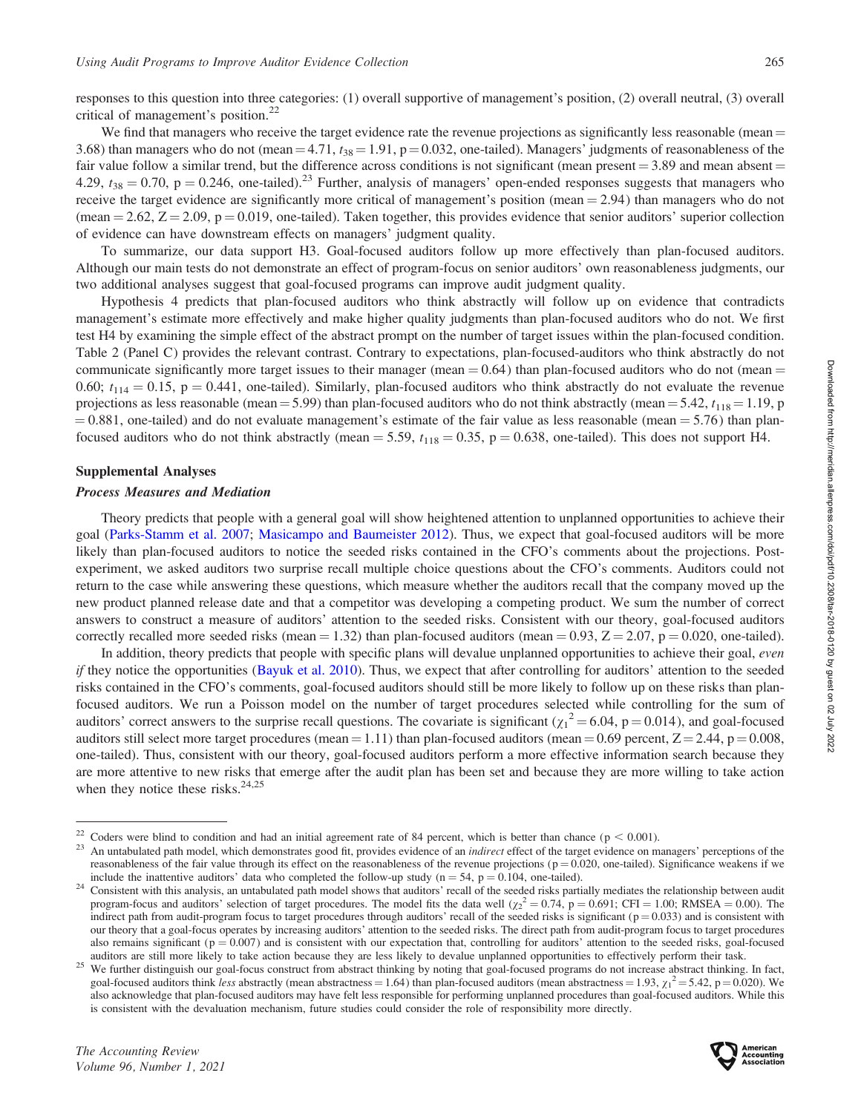responses to this question into three categories: (1) overall supportive of management's position, (2) overall neutral, (3) overall critical of management's position.<sup>22</sup>

We find that managers who receive the target evidence rate the revenue projections as significantly less reasonable (mean  $=$ 3.68) than managers who do not (mean  $=$  4.71,  $t_{38}$  = 1.91, p = 0.032, one-tailed). Managers' judgments of reasonableness of the fair value follow a similar trend, but the difference across conditions is not significant (mean present  $= 3.89$  and mean absent  $=$ 4.29,  $t_{38} = 0.70$ , p = 0.246, one-tailed).<sup>23</sup> Further, analysis of managers' open-ended responses suggests that managers who receive the target evidence are significantly more critical of management's position (mean  $= 2.94$ ) than managers who do not (mean  $=$  2.62,  $Z = 2.09$ ,  $p = 0.019$ , one-tailed). Taken together, this provides evidence that senior auditors' superior collection of evidence can have downstream effects on managers' judgment quality.

To summarize, our data support H3. Goal-focused auditors follow up more effectively than plan-focused auditors. Although our main tests do not demonstrate an effect of program-focus on senior auditors' own reasonableness judgments, our two additional analyses suggest that goal-focused programs can improve audit judgment quality.

Hypothesis 4 predicts that plan-focused auditors who think abstractly will follow up on evidence that contradicts management's estimate more effectively and make higher quality judgments than plan-focused auditors who do not. We first test H4 by examining the simple effect of the abstract prompt on the number of target issues within the plan-focused condition. Table 2 (Panel C) provides the relevant contrast. Contrary to expectations, plan-focused-auditors who think abstractly do not communicate significantly more target issues to their manager (mean  $= 0.64$ ) than plan-focused auditors who do not (mean  $=$ 0.60;  $t_{114} = 0.15$ , p = 0.441, one-tailed). Similarly, plan-focused auditors who think abstractly do not evaluate the revenue projections as less reasonable (mean = 5.99) than plan-focused auditors who do not think abstractly (mean = 5.42,  $t_{118}$  = 1.19, p  $= 0.881$ , one-tailed) and do not evaluate management's estimate of the fair value as less reasonable (mean  $= 5.76$ ) than planfocused auditors who do not think abstractly (mean  $=$  5.59,  $t_{118} = 0.35$ , p  $= 0.638$ , one-tailed). This does not support H4.

#### Supplemental Analyses

#### Process Measures and Mediation

Theory predicts that people with a general goal will show heightened attention to unplanned opportunities to achieve their goal ([Parks-Stamm et al. 2007;](#page-18-0) [Masicampo and Baumeister 2012](#page-18-0)). Thus, we expect that goal-focused auditors will be more likely than plan-focused auditors to notice the seeded risks contained in the CFO's comments about the projections. Postexperiment, we asked auditors two surprise recall multiple choice questions about the CFO's comments. Auditors could not return to the case while answering these questions, which measure whether the auditors recall that the company moved up the new product planned release date and that a competitor was developing a competing product. We sum the number of correct answers to construct a measure of auditors' attention to the seeded risks. Consistent with our theory, goal-focused auditors correctly recalled more seeded risks (mean = 1.32) than plan-focused auditors (mean = 0.93,  $Z = 2.07$ , p = 0.020, one-tailed).

In addition, theory predicts that people with specific plans will devalue unplanned opportunities to achieve their goal, even if they notice the opportunities ([Bayuk et al. 2010](#page-17-0)). Thus, we expect that after controlling for auditors' attention to the seeded risks contained in the CFO's comments, goal-focused auditors should still be more likely to follow up on these risks than planfocused auditors. We run a Poisson model on the number of target procedures selected while controlling for the sum of auditors' correct answers to the surprise recall questions. The covariate is significant  $(\chi_1^2 = 6.04, p = 0.014)$ , and goal-focused auditors still select more target procedures (mean = 1.11) than plan-focused auditors (mean = 0.69 percent,  $Z = 2.44$ , p = 0.008, one-tailed). Thus, consistent with our theory, goal-focused auditors perform a more effective information search because they are more attentive to new risks that emerge after the audit plan has been set and because they are more willing to take action when they notice these risks. $24,25$ 



<sup>&</sup>lt;sup>22</sup> Coders were blind to condition and had an initial agreement rate of 84 percent, which is better than chance ( $p < 0.001$ ).<br><sup>23</sup> An untabulated path model, which demonstrates good fit, provides evidence of an *indirect* reasonableness of the fair value through its effect on the reasonableness of the revenue projections ( $p = 0.020$ , one-tailed). Significance weakens if we

include the inattentive auditors' data who completed the follow-up study ( $n = 54$ ,  $p = 0.104$ , one-tailed).<br><sup>24</sup> Consistent with this analysis, an untabulated path model shows that auditors' recall of the seeded risks par program-focus and auditors' selection of target procedures. The model fits the data well  $(\chi^2 = 0.74, p = 0.691; CFI = 1.00; RMSEA = 0.00)$ . The indirect path from audit-program focus to target procedures through auditors' recall of the seeded risks is significant ( $p = 0.033$ ) and is consistent with our theory that a goal-focus operates by increasing auditors' attention to the seeded risks. The direct path from audit-program focus to target procedures also remains significant ( $p = 0.007$ ) and is consistent with our expectation that, controlling for auditors' attention to the seeded risks, goal-focused auditors are still more likely to take action because they are less likely to devalue unplanned opportunities to effectively perform their task.<br><sup>25</sup> We further distinguish our goal-focus construct from abstract thinking b

goal-focused auditors think less abstractly (mean abstractness = 1.64) than plan-focused auditors (mean abstractness = 1.93,  $\chi_1^2$  = 5.42, p = 0.020). We also acknowledge that plan-focused auditors may have felt less responsible for performing unplanned procedures than goal-focused auditors. While this is consistent with the devaluation mechanism, future studies could consider the role of responsibility more directly.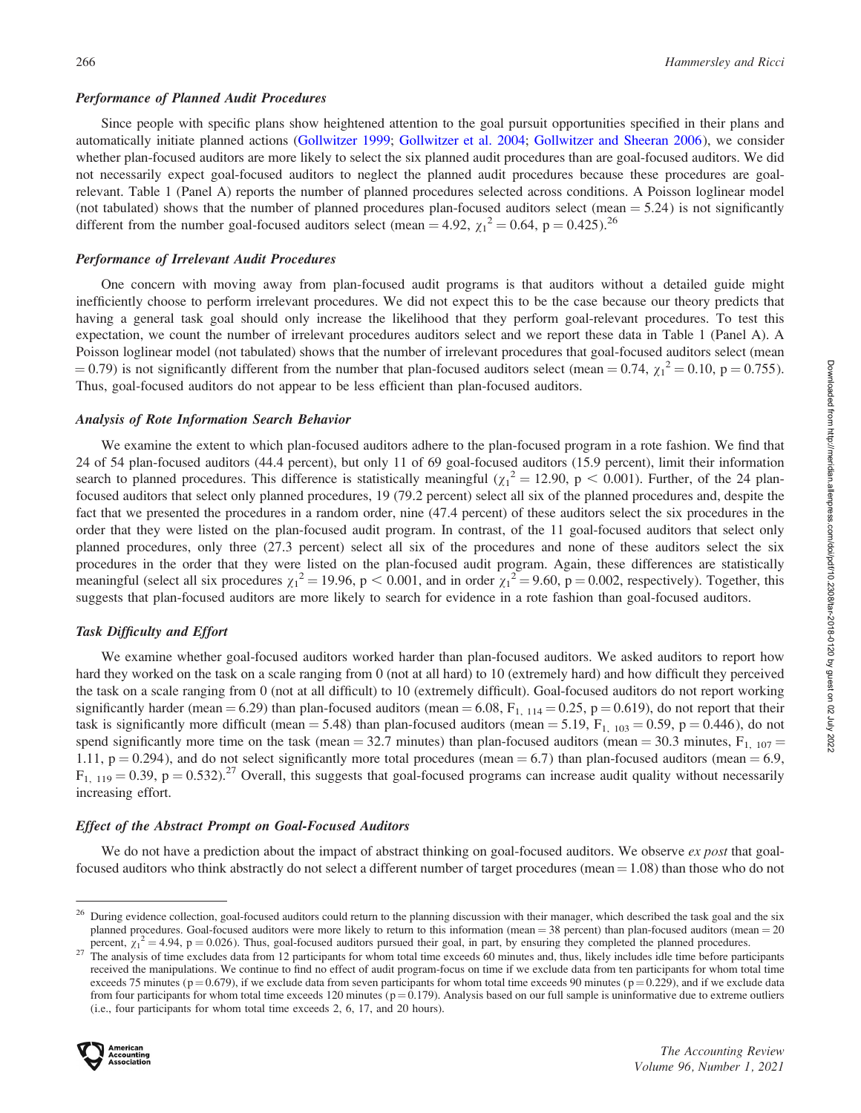#### Performance of Planned Audit Procedures

Since people with specific plans show heightened attention to the goal pursuit opportunities specified in their plans and automatically initiate planned actions [\(Gollwitzer 1999;](#page-18-0) [Gollwitzer et al. 2004;](#page-18-0) [Gollwitzer and Sheeran 2006](#page-18-0)), we consider whether plan-focused auditors are more likely to select the six planned audit procedures than are goal-focused auditors. We did not necessarily expect goal-focused auditors to neglect the planned audit procedures because these procedures are goalrelevant. Table 1 (Panel A) reports the number of planned procedures selected across conditions. A Poisson loglinear model (not tabulated) shows that the number of planned procedures plan-focused auditors select (mean  $= 5.24$ ) is not significantly different from the number goal-focused auditors select (mean = 4.92,  $\chi_1^2 = 0.64$ , p = 0.425).<sup>26</sup>

#### Performance of Irrelevant Audit Procedures

One concern with moving away from plan-focused audit programs is that auditors without a detailed guide might inefficiently choose to perform irrelevant procedures. We did not expect this to be the case because our theory predicts that having a general task goal should only increase the likelihood that they perform goal-relevant procedures. To test this expectation, we count the number of irrelevant procedures auditors select and we report these data in Table 1 (Panel A). A Poisson loglinear model (not tabulated) shows that the number of irrelevant procedures that goal-focused auditors select (mean  $(1, 0.79)$  is not significantly different from the number that plan-focused auditors select (mean  $= 0.74$ ,  $\chi_1^2 = 0.10$ , p  $= 0.755$ ). Thus, goal-focused auditors do not appear to be less efficient than plan-focused auditors.

#### Analysis of Rote Information Search Behavior

We examine the extent to which plan-focused auditors adhere to the plan-focused program in a rote fashion. We find that 24 of 54 plan-focused auditors (44.4 percent), but only 11 of 69 goal-focused auditors (15.9 percent), limit their information search to planned procedures. This difference is statistically meaningful  $(\chi_1^2 = 12.90, p < 0.001)$ . Further, of the 24 planfocused auditors that select only planned procedures, 19 (79.2 percent) select all six of the planned procedures and, despite the fact that we presented the procedures in a random order, nine (47.4 percent) of these auditors select the six procedures in the order that they were listed on the plan-focused audit program. In contrast, of the 11 goal-focused auditors that select only planned procedures, only three (27.3 percent) select all six of the procedures and none of these auditors select the six procedures in the order that they were listed on the plan-focused audit program. Again, these differences are statistically meaningful (select all six procedures  $\chi_1^2 = 19.96$ , p < 0.001, and in order  $\chi_1^2 = 9.60$ , p = 0.002, respectively). Together, this suggests that plan-focused auditors are more likely to search for evidence in a rote fashion than goal-focused auditors.

# Task Difficulty and Effort

We examine whether goal-focused auditors worked harder than plan-focused auditors. We asked auditors to report how hard they worked on the task on a scale ranging from 0 (not at all hard) to 10 (extremely hard) and how difficult they perceived the task on a scale ranging from 0 (not at all difficult) to 10 (extremely difficult). Goal-focused auditors do not report working significantly harder (mean = 6.29) than plan-focused auditors (mean = 6.08,  $F_{1, 114}$  = 0.25, p = 0.619), do not report that their task is significantly more difficult (mean = 5.48) than plan-focused auditors (mean = 5.19,  $F_{1, 103} = 0.59$ , p = 0.446), do not spend significantly more time on the task (mean = 32.7 minutes) than plan-focused auditors (mean = 30.3 minutes,  $F_{1, 107}$  = 1.11,  $p = 0.294$ ), and do not select significantly more total procedures (mean = 6.7) than plan-focused auditors (mean = 6.9,  $F_{1, 119} = 0.39$ , p = 0.532).<sup>27</sup> Overall, this suggests that goal-focused programs can increase audit quality without necessarily increasing effort.

# Effect of the Abstract Prompt on Goal-Focused Auditors

We do not have a prediction about the impact of abstract thinking on goal-focused auditors. We observe ex post that goalfocused auditors who think abstractly do not select a different number of target procedures (mean  $= 1.08$ ) than those who do not

<sup>&</sup>lt;sup>27</sup> The analysis of time excludes data from 12 participants for whom total time exceeds 60 minutes and, thus, likely includes idle time before participants received the manipulations. We continue to find no effect of audit program-focus on time if we exclude data from ten participants for whom total time exceeds 75 minutes ( $p = 0.679$ ), if we exclude data from seven participants for whom total time exceeds 90 minutes ( $p = 0.229$ ), and if we exclude data from four participants for whom total time exceeds 120 minutes ( $p = 0.179$ ). Analysis based on our full sample is uninformative due to extreme outliers (i.e., four participants for whom total time exceeds 2, 6, 17, and 20 hours).



<sup>26</sup> During evidence collection, goal-focused auditors could return to the planning discussion with their manager, which described the task goal and the six planned procedures. Goal-focused auditors were more likely to return to this information (mean  $= 38$  percent) than plan-focused auditors (mean  $= 20$ percent,  $\chi_1^2 = 4.94$ , p = 0.026). Thus, goal-focused auditors pursued their goal, in part, by ensuring they completed the planned procedures.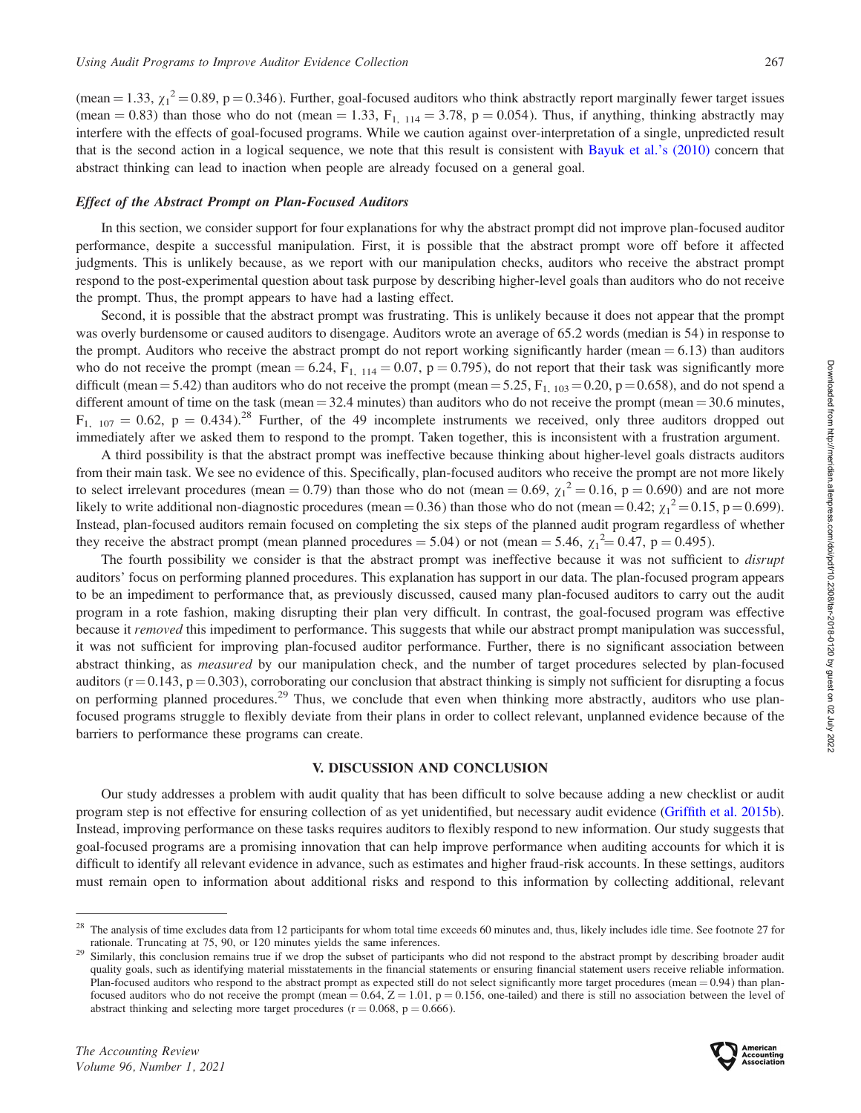(mean = 1.33,  $\chi_1^2$  = 0.89, p = 0.346). Further, goal-focused auditors who think abstractly report marginally fewer target issues (mean  $= 0.83$ ) than those who do not (mean  $= 1.33$ ,  $F_{1, 114} = 3.78$ , p  $= 0.054$ ). Thus, if anything, thinking abstractly may interfere with the effects of goal-focused programs. While we caution against over-interpretation of a single, unpredicted result that is the second action in a logical sequence, we note that this result is consistent with [Bayuk et al.'s \(2010\)](#page-17-0) concern that abstract thinking can lead to inaction when people are already focused on a general goal.

# Effect of the Abstract Prompt on Plan-Focused Auditors

In this section, we consider support for four explanations for why the abstract prompt did not improve plan-focused auditor performance, despite a successful manipulation. First, it is possible that the abstract prompt wore off before it affected judgments. This is unlikely because, as we report with our manipulation checks, auditors who receive the abstract prompt respond to the post-experimental question about task purpose by describing higher-level goals than auditors who do not receive the prompt. Thus, the prompt appears to have had a lasting effect.

Second, it is possible that the abstract prompt was frustrating. This is unlikely because it does not appear that the prompt was overly burdensome or caused auditors to disengage. Auditors wrote an average of 65.2 words (median is 54) in response to the prompt. Auditors who receive the abstract prompt do not report working significantly harder (mean  $= 6.13$ ) than auditors who do not receive the prompt (mean  $= 6.24$ ,  $F_{1, 114} = 0.07$ ,  $p = 0.795$ ), do not report that their task was significantly more difficult (mean = 5.42) than auditors who do not receive the prompt (mean = 5.25,  $F_{1, 103} = 0.20$ , p = 0.658), and do not spend a different amount of time on the task (mean  $=$  32.4 minutes) than auditors who do not receive the prompt (mean  $=$  30.6 minutes,  $F_{1, 107} = 0.62$ ,  $p = 0.434$ .<sup>28</sup> Further, of the 49 incomplete instruments we received, only three auditors dropped out immediately after we asked them to respond to the prompt. Taken together, this is inconsistent with a frustration argument.

A third possibility is that the abstract prompt was ineffective because thinking about higher-level goals distracts auditors from their main task. We see no evidence of this. Specifically, plan-focused auditors who receive the prompt are not more likely to select irrelevant procedures (mean = 0.79) than those who do not (mean = 0.69,  $\chi_1^2$  = 0.16, p = 0.690) and are not more likely to write additional non-diagnostic procedures (mean = 0.36) than those who do not (mean = 0.42;  $\chi_1^2$  = 0.15, p = 0.699). Instead, plan-focused auditors remain focused on completing the six steps of the planned audit program regardless of whether they receive the abstract prompt (mean planned procedures = 5.04) or not (mean = 5.46,  $\chi_1^2 = 0.47$ , p = 0.495).

The fourth possibility we consider is that the abstract prompt was ineffective because it was not sufficient to *disrupt* auditors' focus on performing planned procedures. This explanation has support in our data. The plan-focused program appears to be an impediment to performance that, as previously discussed, caused many plan-focused auditors to carry out the audit program in a rote fashion, making disrupting their plan very difficult. In contrast, the goal-focused program was effective because it removed this impediment to performance. This suggests that while our abstract prompt manipulation was successful, it was not sufficient for improving plan-focused auditor performance. Further, there is no significant association between abstract thinking, as *measured* by our manipulation check, and the number of target procedures selected by plan-focused auditors ( $r = 0.143$ ,  $p = 0.303$ ), corroborating our conclusion that abstract thinking is simply not sufficient for disrupting a focus on performing planned procedures.<sup>29</sup> Thus, we conclude that even when thinking more abstractly, auditors who use planfocused programs struggle to flexibly deviate from their plans in order to collect relevant, unplanned evidence because of the barriers to performance these programs can create.

#### V. DISCUSSION AND CONCLUSION

Our study addresses a problem with audit quality that has been difficult to solve because adding a new checklist or audit program step is not effective for ensuring collection of as yet unidentified, but necessary audit evidence ([Griffith et al. 2015b](#page-18-0)). Instead, improving performance on these tasks requires auditors to flexibly respond to new information. Our study suggests that goal-focused programs are a promising innovation that can help improve performance when auditing accounts for which it is difficult to identify all relevant evidence in advance, such as estimates and higher fraud-risk accounts. In these settings, auditors must remain open to information about additional risks and respond to this information by collecting additional, relevant



The analysis of time excludes data from 12 participants for whom total time exceeds 60 minutes and, thus, likely includes idle time. See footnote 27 for rationale. Truncating at 75, 90, or 120 minutes yields the same infer

<sup>&</sup>lt;sup>29</sup> Similarly, this conclusion remains true if we drop the subset of participants who did not respond to the abstract prompt by describing broader audit quality goals, such as identifying material misstatements in the financial statements or ensuring financial statement users receive reliable information. Plan-focused auditors who respond to the abstract prompt as expected still do not select significantly more target procedures (mean  $= 0.94$ ) than planfocused auditors who do not receive the prompt (mean = 0.64,  $Z = 1.01$ , p = 0.156, one-tailed) and there is still no association between the level of abstract thinking and selecting more target procedures ( $r = 0.068$ ,  $p = 0.666$ ).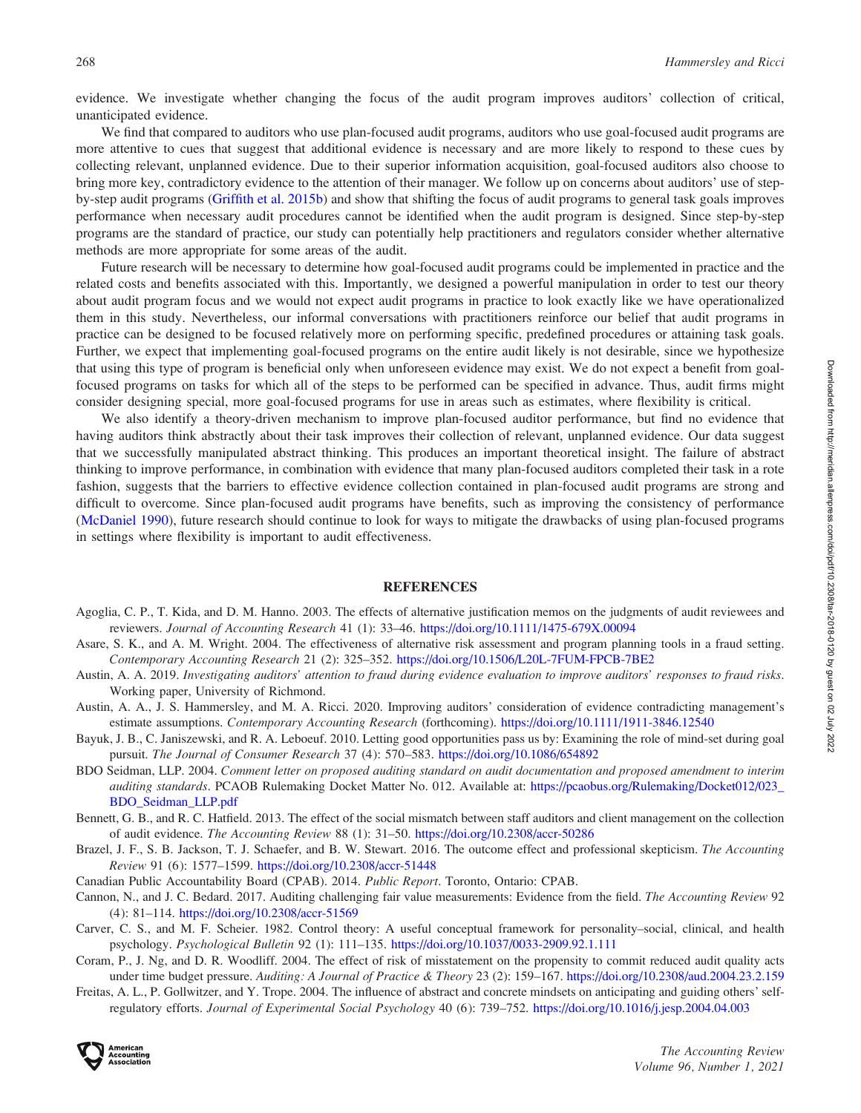<span id="page-17-0"></span>evidence. We investigate whether changing the focus of the audit program improves auditors' collection of critical, unanticipated evidence.

We find that compared to auditors who use plan-focused audit programs, auditors who use goal-focused audit programs are more attentive to cues that suggest that additional evidence is necessary and are more likely to respond to these cues by collecting relevant, unplanned evidence. Due to their superior information acquisition, goal-focused auditors also choose to bring more key, contradictory evidence to the attention of their manager. We follow up on concerns about auditors' use of stepby-step audit programs [\(Griffith et al. 2015b\)](#page-18-0) and show that shifting the focus of audit programs to general task goals improves performance when necessary audit procedures cannot be identified when the audit program is designed. Since step-by-step programs are the standard of practice, our study can potentially help practitioners and regulators consider whether alternative methods are more appropriate for some areas of the audit.

Future research will be necessary to determine how goal-focused audit programs could be implemented in practice and the related costs and benefits associated with this. Importantly, we designed a powerful manipulation in order to test our theory about audit program focus and we would not expect audit programs in practice to look exactly like we have operationalized them in this study. Nevertheless, our informal conversations with practitioners reinforce our belief that audit programs in practice can be designed to be focused relatively more on performing specific, predefined procedures or attaining task goals. Further, we expect that implementing goal-focused programs on the entire audit likely is not desirable, since we hypothesize that using this type of program is beneficial only when unforeseen evidence may exist. We do not expect a benefit from goalfocused programs on tasks for which all of the steps to be performed can be specified in advance. Thus, audit firms might consider designing special, more goal-focused programs for use in areas such as estimates, where flexibility is critical.

We also identify a theory-driven mechanism to improve plan-focused auditor performance, but find no evidence that having auditors think abstractly about their task improves their collection of relevant, unplanned evidence. Our data suggest that we successfully manipulated abstract thinking. This produces an important theoretical insight. The failure of abstract thinking to improve performance, in combination with evidence that many plan-focused auditors completed their task in a rote fashion, suggests that the barriers to effective evidence collection contained in plan-focused audit programs are strong and difficult to overcome. Since plan-focused audit programs have benefits, such as improving the consistency of performance [\(McDaniel 1990\)](#page-18-0), future research should continue to look for ways to mitigate the drawbacks of using plan-focused programs in settings where flexibility is important to audit effectiveness.

#### **REFERENCES**

- Agoglia, C. P., T. Kida, and D. M. Hanno. 2003. The effects of alternative justification memos on the judgments of audit reviewees and reviewers. Journal of Accounting Research 41 (1): 33–46. <https://doi.org/10.1111/1475-679X.00094>
- Asare, S. K., and A. M. Wright. 2004. The effectiveness of alternative risk assessment and program planning tools in a fraud setting. Contemporary Accounting Research 21 (2): 325–352. <https://doi.org/10.1506/L20L-7FUM-FPCB-7BE2>
- Austin, A. A. 2019. Investigating auditors' attention to fraud during evidence evaluation to improve auditors' responses to fraud risks. Working paper, University of Richmond.
- Austin, A. A., J. S. Hammersley, and M. A. Ricci. 2020. Improving auditors' consideration of evidence contradicting management's estimate assumptions. Contemporary Accounting Research (forthcoming). <https://doi.org/10.1111/1911-3846.12540>
- Bayuk, J. B., C. Janiszewski, and R. A. Leboeuf. 2010. Letting good opportunities pass us by: Examining the role of mind-set during goal pursuit. The Journal of Consumer Research 37 (4): 570–583. <https://doi.org/10.1086/654892>
- BDO Seidman, LLP. 2004. Comment letter on proposed auditing standard on audit documentation and proposed amendment to interim auditing standards. PCAOB Rulemaking Docket Matter No. 012. Available at: [https://pcaobus.org/Rulemaking/Docket012/023\\_](https://pcaobus.org/Rulemaking/Docket012/023_BDO_Seidman_LLP.pdf) [BDO\\_Seidman\\_LLP.pdf](https://pcaobus.org/Rulemaking/Docket012/023_BDO_Seidman_LLP.pdf)
- Bennett, G. B., and R. C. Hatfield. 2013. The effect of the social mismatch between staff auditors and client management on the collection of audit evidence. The Accounting Review 88 (1): 31–50. <https://doi.org/10.2308/accr-50286>
- Brazel, J. F., S. B. Jackson, T. J. Schaefer, and B. W. Stewart. 2016. The outcome effect and professional skepticism. The Accounting Review 91 (6): 1577–1599. <https://doi.org/10.2308/accr-51448>
- Canadian Public Accountability Board (CPAB). 2014. Public Report. Toronto, Ontario: CPAB.
- Cannon, N., and J. C. Bedard. 2017. Auditing challenging fair value measurements: Evidence from the field. The Accounting Review 92 (4): 81–114. <https://doi.org/10.2308/accr-51569>
- Carver, C. S., and M. F. Scheier. 1982. Control theory: A useful conceptual framework for personality–social, clinical, and health psychology. Psychological Bulletin 92 (1): 111–135. <https://doi.org/10.1037/0033-2909.92.1.111>
- Coram, P., J. Ng, and D. R. Woodliff. 2004. The effect of risk of misstatement on the propensity to commit reduced audit quality acts under time budget pressure. Auditing: A Journal of Practice & Theory 23 (2): 159–167. <https://doi.org/10.2308/aud.2004.23.2.159>
- Freitas, A. L., P. Gollwitzer, and Y. Trope. 2004. The influence of abstract and concrete mindsets on anticipating and guiding others' selfregulatory efforts. Journal of Experimental Social Psychology 40 (6): 739–752. <https://doi.org/10.1016/j.jesp.2004.04.003>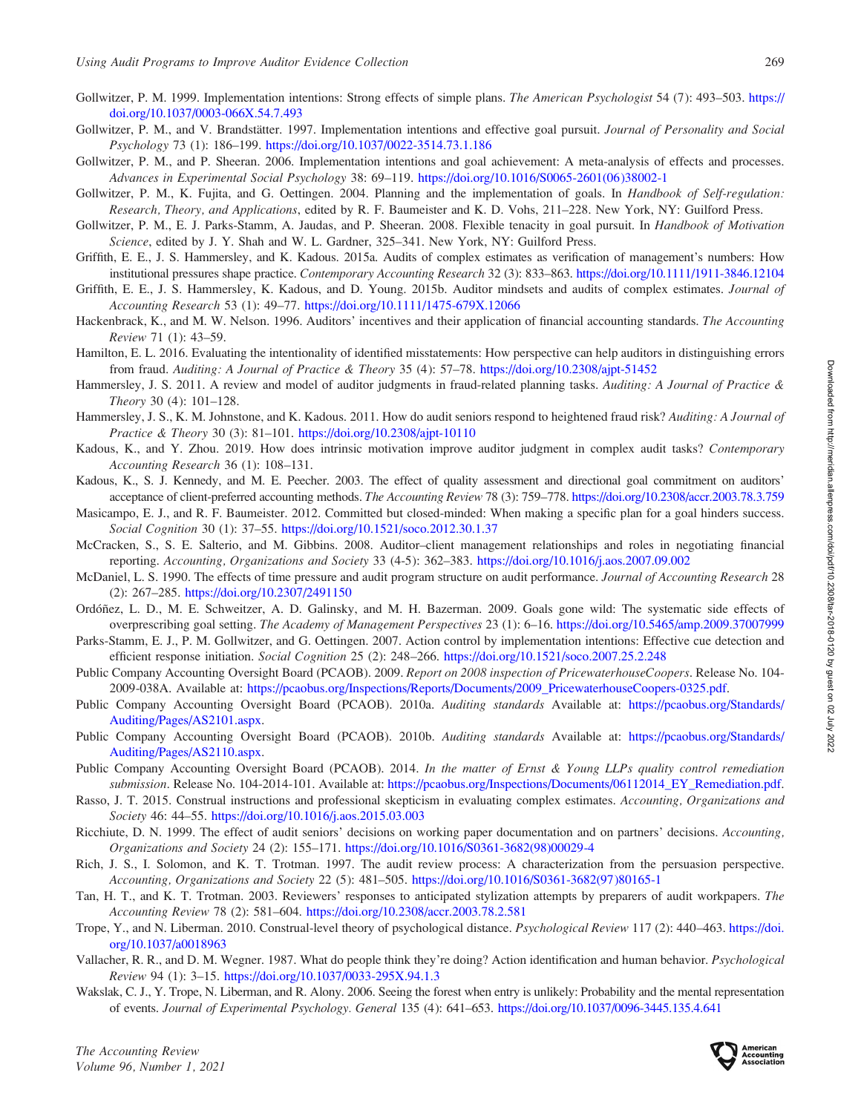- <span id="page-18-0"></span>Gollwitzer, P. M. 1999. Implementation intentions: Strong effects of simple plans. The American Psychologist 54 (7): 493–503. [https://](https://doi.org/10.1037/0003-066X.54.7.493) [doi.org/10.1037/0003-066X.54.7.493](https://doi.org/10.1037/0003-066X.54.7.493)
- Gollwitzer, P. M., and V. Brandstätter. 1997. Implementation intentions and effective goal pursuit. Journal of Personality and Social Psychology 73 (1): 186–199. <https://doi.org/10.1037/0022-3514.73.1.186>
- Gollwitzer, P. M., and P. Sheeran. 2006. Implementation intentions and goal achievement: A meta-analysis of effects and processes. Advances in Experimental Social Psychology 38: 69–119. [https://doi.org/10.1016/S0065-2601\(06\)38002-1](https://doi.org/10.1016/S0065-2601(06)38002-1)
- Gollwitzer, P. M., K. Fujita, and G. Oettingen. 2004. Planning and the implementation of goals. In Handbook of Self-regulation: Research, Theory, and Applications, edited by R. F. Baumeister and K. D. Vohs, 211–228. New York, NY: Guilford Press.
- Gollwitzer, P. M., E. J. Parks-Stamm, A. Jaudas, and P. Sheeran. 2008. Flexible tenacity in goal pursuit. In Handbook of Motivation Science, edited by J. Y. Shah and W. L. Gardner, 325–341. New York, NY: Guilford Press.
- Griffith, E. E., J. S. Hammersley, and K. Kadous. 2015a. Audits of complex estimates as verification of management's numbers: How institutional pressures shape practice. Contemporary Accounting Research 32 (3): 833–863. <https://doi.org/10.1111/1911-3846.12104>
- Griffith, E. E., J. S. Hammersley, K. Kadous, and D. Young. 2015b. Auditor mindsets and audits of complex estimates. *Journal of* Accounting Research 53 (1): 49–77. <https://doi.org/10.1111/1475-679X.12066>
- Hackenbrack, K., and M. W. Nelson. 1996. Auditors' incentives and their application of financial accounting standards. The Accounting Review 71 (1): 43–59.
- Hamilton, E. L. 2016. Evaluating the intentionality of identified misstatements: How perspective can help auditors in distinguishing errors from fraud. Auditing: A Journal of Practice & Theory 35 (4): 57–78. <https://doi.org/10.2308/ajpt-51452>
- Hammersley, J. S. 2011. A review and model of auditor judgments in fraud-related planning tasks. Auditing: A Journal of Practice & Theory 30 (4): 101–128.
- Hammersley, J. S., K. M. Johnstone, and K. Kadous. 2011. How do audit seniors respond to heightened fraud risk? Auditing: A Journal of Practice & Theory 30 (3): 81–101. <https://doi.org/10.2308/ajpt-10110>
- Kadous, K., and Y. Zhou. 2019. How does intrinsic motivation improve auditor judgment in complex audit tasks? Contemporary Accounting Research 36 (1): 108–131.
- Kadous, K., S. J. Kennedy, and M. E. Peecher. 2003. The effect of quality assessment and directional goal commitment on auditors' acceptance of client-preferred accounting methods. The Accounting Review 78 (3): 759–778. <https://doi.org/10.2308/accr.2003.78.3.759>
- Masicampo, E. J., and R. F. Baumeister. 2012. Committed but closed-minded: When making a specific plan for a goal hinders success. Social Cognition 30 (1): 37–55. <https://doi.org/10.1521/soco.2012.30.1.37>
- McCracken, S., S. E. Salterio, and M. Gibbins. 2008. Auditor–client management relationships and roles in negotiating financial reporting. Accounting, Organizations and Society 33 (4-5): 362–383. <https://doi.org/10.1016/j.aos.2007.09.002>
- McDaniel, L. S. 1990. The effects of time pressure and audit program structure on audit performance. Journal of Accounting Research 28 (2): 267–285. <https://doi.org/10.2307/2491150>
- Ordóñez, L. D., M. E. Schweitzer, A. D. Galinsky, and M. H. Bazerman. 2009. Goals gone wild: The systematic side effects of overprescribing goal setting. The Academy of Management Perspectives 23 (1): 6–16. <https://doi.org/10.5465/amp.2009.37007999>
- Parks-Stamm, E. J., P. M. Gollwitzer, and G. Oettingen. 2007. Action control by implementation intentions: Effective cue detection and efficient response initiation. Social Cognition 25 (2): 248–266. <https://doi.org/10.1521/soco.2007.25.2.248>
- Public Company Accounting Oversight Board (PCAOB). 2009. Report on 2008 inspection of PricewaterhouseCoopers. Release No. 104- 2009-038A. Available at: [https://pcaobus.org/Inspections/Reports/Documents/2009\\_PricewaterhouseCoopers-0325.pdf.](https://pcaobus.org/Inspections/Reports/Documents/2009_PricewaterhouseCoopers-0325.pdf)
- Public Company Accounting Oversight Board (PCAOB). 2010a. Auditing standards Available at: [https://pcaobus.org/Standards/](https://pcaobus.org/Standards/Auditing/Pages/AS2101.aspx) [Auditing/Pages/AS2101.aspx.](https://pcaobus.org/Standards/Auditing/Pages/AS2101.aspx)
- Public Company Accounting Oversight Board (PCAOB). 2010b. Auditing standards Available at: [https://pcaobus.org/Standards/](https://pcaobus.org/Standards/Auditing/Pages/AS2110.aspx) [Auditing/Pages/AS2110.aspx.](https://pcaobus.org/Standards/Auditing/Pages/AS2110.aspx)
- Public Company Accounting Oversight Board (PCAOB). 2014. In the matter of Ernst & Young LLPs quality control remediation submission. Release No. 104-2014-101. Available at: [https://pcaobus.org/Inspections/Documents/06112014\\_EY\\_Remediation.pdf.](https://pcaobus.org/Inspections/Documents/06112014_EY_Remediation.pdf)
- Rasso, J. T. 2015. Construal instructions and professional skepticism in evaluating complex estimates. Accounting, Organizations and Society 46: 44–55. <https://doi.org/10.1016/j.aos.2015.03.003>
- Ricchiute, D. N. 1999. The effect of audit seniors' decisions on working paper documentation and on partners' decisions. Accounting, Organizations and Society 24 (2): 155–171. [https://doi.org/10.1016/S0361-3682\(98\)00029-4](https://doi.org/10.1016/S0361-3682(98)00029-4)
- Rich, J. S., I. Solomon, and K. T. Trotman. 1997. The audit review process: A characterization from the persuasion perspective. Accounting, Organizations and Society 22 (5): 481–505. [https://doi.org/10.1016/S0361-3682\(97\)80165-1](https://doi.org/10.1016/S0361-3682(97)80165-1)
- Tan, H. T., and K. T. Trotman. 2003. Reviewers' responses to anticipated stylization attempts by preparers of audit workpapers. The Accounting Review 78 (2): 581–604. <https://doi.org/10.2308/accr.2003.78.2.581>
- Trope, Y., and N. Liberman. 2010. Construal-level theory of psychological distance. Psychological Review 117 (2): 440–463. [https://doi.](https://doi.org/10.1037/a0018963) [org/10.1037/a0018963](https://doi.org/10.1037/a0018963)
- Vallacher, R. R., and D. M. Wegner. 1987. What do people think they're doing? Action identification and human behavior. Psychological Review 94 (1): 3–15. <https://doi.org/10.1037/0033-295X.94.1.3>
- Wakslak, C. J., Y. Trope, N. Liberman, and R. Alony. 2006. Seeing the forest when entry is unlikely: Probability and the mental representation of events. Journal of Experimental Psychology. General 135 (4): 641–653. <https://doi.org/10.1037/0096-3445.135.4.641>

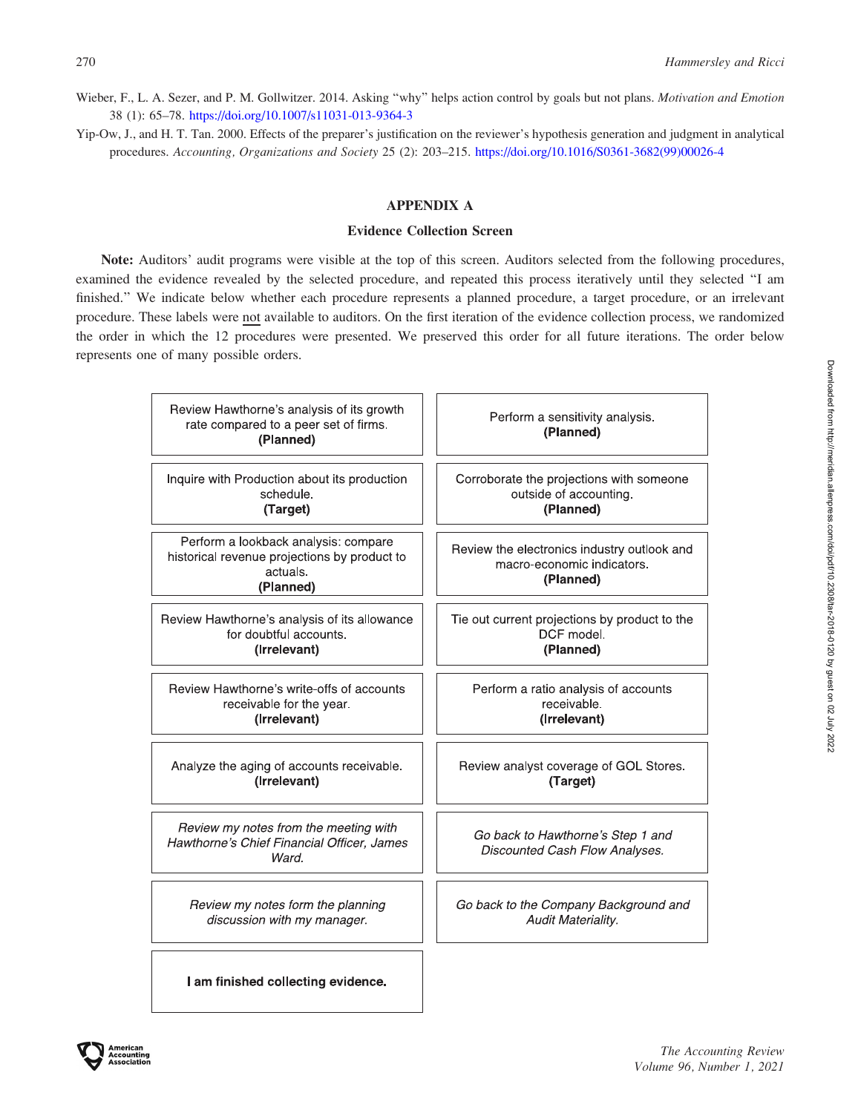- <span id="page-19-0"></span>Wieber, F., L. A. Sezer, and P. M. Gollwitzer. 2014. Asking "why" helps action control by goals but not plans. Motivation and Emotion 38 (1): 65–78. <https://doi.org/10.1007/s11031-013-9364-3>
- Yip-Ow, J., and H. T. Tan. 2000. Effects of the preparer's justification on the reviewer's hypothesis generation and judgment in analytical procedures. Accounting, Organizations and Society 25 (2): 203–215. [https://doi.org/10.1016/S0361-3682\(99\)00026-4](https://doi.org/10.1016/S0361-3682(99)00026-4)

# APPENDIX A

# Evidence Collection Screen

Note: Auditors' audit programs were visible at the top of this screen. Auditors selected from the following procedures, examined the evidence revealed by the selected procedure, and repeated this process iteratively until they selected ''I am finished.'' We indicate below whether each procedure represents a planned procedure, a target procedure, or an irrelevant procedure. These labels were not available to auditors. On the first iteration of the evidence collection process, we randomized the order in which the 12 procedures were presented. We preserved this order for all future iterations. The order below represents one of many possible orders.

| Review Hawthorne's analysis of its growth<br>rate compared to a peer set of firms.<br>(Planned)               | Perform a sensitivity analysis.<br>(Planned)                                           |
|---------------------------------------------------------------------------------------------------------------|----------------------------------------------------------------------------------------|
| Inquire with Production about its production                                                                  | Corroborate the projections with someone                                               |
| schedule.                                                                                                     | outside of accounting.                                                                 |
| (Target)                                                                                                      | (Planned)                                                                              |
| Perform a lookback analysis: compare<br>historical revenue projections by product to<br>actuals.<br>(Planned) | Review the electronics industry outlook and<br>macro-economic indicators.<br>(Planned) |
| Review Hawthorne's analysis of its allowance                                                                  | Tie out current projections by product to the                                          |
| for doubtful accounts.                                                                                        | DCF model.                                                                             |
| (Irrelevant)                                                                                                  | (Planned)                                                                              |
| Review Hawthorne's write-offs of accounts                                                                     | Perform a ratio analysis of accounts                                                   |
| receivable for the year.                                                                                      | receivable.                                                                            |
| (Irrelevant)                                                                                                  | (Irrelevant)                                                                           |
| Analyze the aging of accounts receivable.                                                                     | Review analyst coverage of GOL Stores.                                                 |
| (Irrelevant)                                                                                                  | (Target)                                                                               |
| Review my notes from the meeting with<br>Hawthorne's Chief Financial Officer, James<br>Ward.                  | Go back to Hawthorne's Step 1 and<br>Discounted Cash Flow Analyses.                    |
| Review my notes form the planning                                                                             | Go back to the Company Background and                                                  |
| discussion with my manager.                                                                                   | <b>Audit Materiality.</b>                                                              |
| I am finished collecting evidence.                                                                            |                                                                                        |

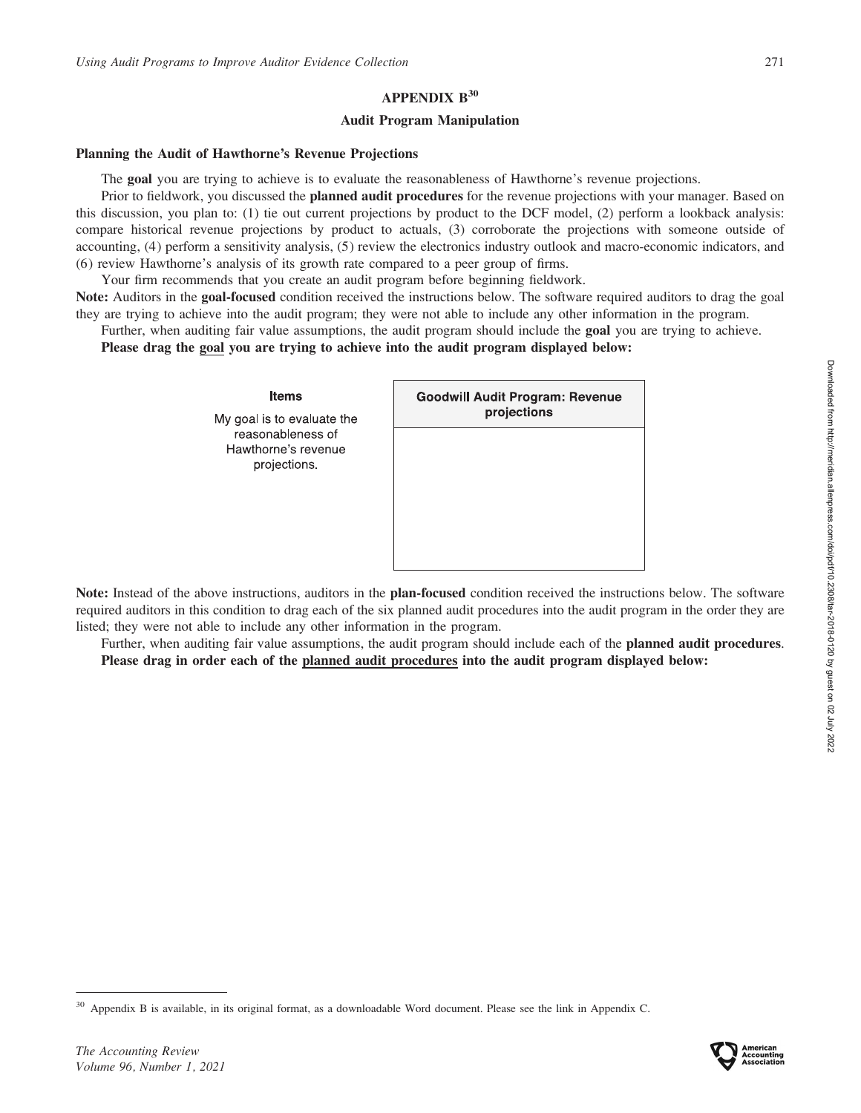# APPENDIX B<sup>30</sup>

# Audit Program Manipulation

# Planning the Audit of Hawthorne's Revenue Projections

My

ŀ

The goal you are trying to achieve is to evaluate the reasonableness of Hawthorne's revenue projections.

Prior to fieldwork, you discussed the **planned audit procedures** for the revenue projections with your manager. Based on this discussion, you plan to: (1) tie out current projections by product to the DCF model, (2) perform a lookback analysis: compare historical revenue projections by product to actuals, (3) corroborate the projections with someone outside of accounting, (4) perform a sensitivity analysis, (5) review the electronics industry outlook and macro-economic indicators, and (6) review Hawthorne's analysis of its growth rate compared to a peer group of firms.

Your firm recommends that you create an audit program before beginning fieldwork.

Note: Auditors in the goal-focused condition received the instructions below. The software required auditors to drag the goal they are trying to achieve into the audit program; they were not able to include any other information in the program.

Further, when auditing fair value assumptions, the audit program should include the goal you are trying to achieve.

Please drag the goal you are trying to achieve into the audit program displayed below:

| <b>Items</b><br>goal is to evaluate the                  | <b>Goodwill Audit Program: Revenue</b><br>projections |  |  |
|----------------------------------------------------------|-------------------------------------------------------|--|--|
| reasonableness of<br>lawthorne's revenue<br>projections. |                                                       |  |  |
|                                                          |                                                       |  |  |

Note: Instead of the above instructions, auditors in the **plan-focused** condition received the instructions below. The software required auditors in this condition to drag each of the six planned audit procedures into the audit program in the order they are listed; they were not able to include any other information in the program.

Further, when auditing fair value assumptions, the audit program should include each of the **planned audit procedures**. Please drag in order each of the planned audit procedures into the audit program displayed below:



<sup>30</sup> Appendix B is available, in its original format, as a downloadable Word document. Please see the link in Appendix C.